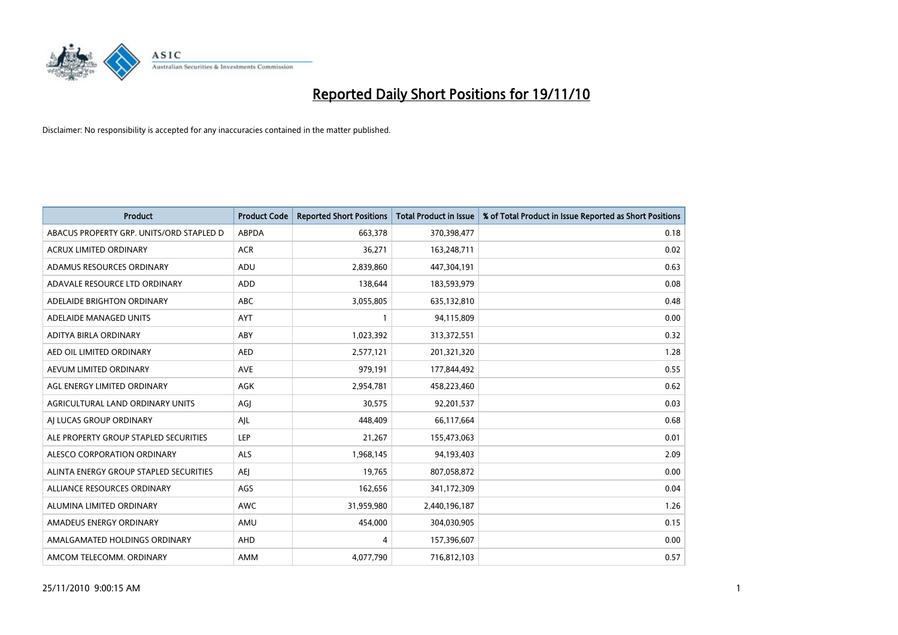

| <b>Product</b>                           | <b>Product Code</b> | <b>Reported Short Positions</b> | <b>Total Product in Issue</b> | % of Total Product in Issue Reported as Short Positions |
|------------------------------------------|---------------------|---------------------------------|-------------------------------|---------------------------------------------------------|
| ABACUS PROPERTY GRP. UNITS/ORD STAPLED D | <b>ABPDA</b>        | 663.378                         | 370,398,477                   | 0.18                                                    |
| <b>ACRUX LIMITED ORDINARY</b>            | <b>ACR</b>          | 36,271                          | 163,248,711                   | 0.02                                                    |
| ADAMUS RESOURCES ORDINARY                | ADU                 | 2,839,860                       | 447,304,191                   | 0.63                                                    |
| ADAVALE RESOURCE LTD ORDINARY            | <b>ADD</b>          | 138,644                         | 183,593,979                   | 0.08                                                    |
| ADELAIDE BRIGHTON ORDINARY               | <b>ABC</b>          | 3,055,805                       | 635,132,810                   | 0.48                                                    |
| ADELAIDE MANAGED UNITS                   | <b>AYT</b>          |                                 | 94,115,809                    | 0.00                                                    |
| ADITYA BIRLA ORDINARY                    | ABY                 | 1,023,392                       | 313,372,551                   | 0.32                                                    |
| AED OIL LIMITED ORDINARY                 | <b>AED</b>          | 2,577,121                       | 201,321,320                   | 1.28                                                    |
| AEVUM LIMITED ORDINARY                   | <b>AVE</b>          | 979,191                         | 177,844,492                   | 0.55                                                    |
| AGL ENERGY LIMITED ORDINARY              | AGK                 | 2,954,781                       | 458,223,460                   | 0.62                                                    |
| AGRICULTURAL LAND ORDINARY UNITS         | AGJ                 | 30,575                          | 92,201,537                    | 0.03                                                    |
| AI LUCAS GROUP ORDINARY                  | AJL                 | 448,409                         | 66,117,664                    | 0.68                                                    |
| ALE PROPERTY GROUP STAPLED SECURITIES    | <b>LEP</b>          | 21,267                          | 155,473,063                   | 0.01                                                    |
| ALESCO CORPORATION ORDINARY              | ALS                 | 1,968,145                       | 94,193,403                    | 2.09                                                    |
| ALINTA ENERGY GROUP STAPLED SECURITIES   | <b>AEI</b>          | 19,765                          | 807,058,872                   | 0.00                                                    |
| ALLIANCE RESOURCES ORDINARY              | AGS                 | 162,656                         | 341,172,309                   | 0.04                                                    |
| ALUMINA LIMITED ORDINARY                 | <b>AWC</b>          | 31,959,980                      | 2,440,196,187                 | 1.26                                                    |
| AMADEUS ENERGY ORDINARY                  | AMU                 | 454,000                         | 304,030,905                   | 0.15                                                    |
| AMALGAMATED HOLDINGS ORDINARY            | <b>AHD</b>          | 4                               | 157,396,607                   | 0.00                                                    |
| AMCOM TELECOMM. ORDINARY                 | AMM                 | 4,077,790                       | 716,812,103                   | 0.57                                                    |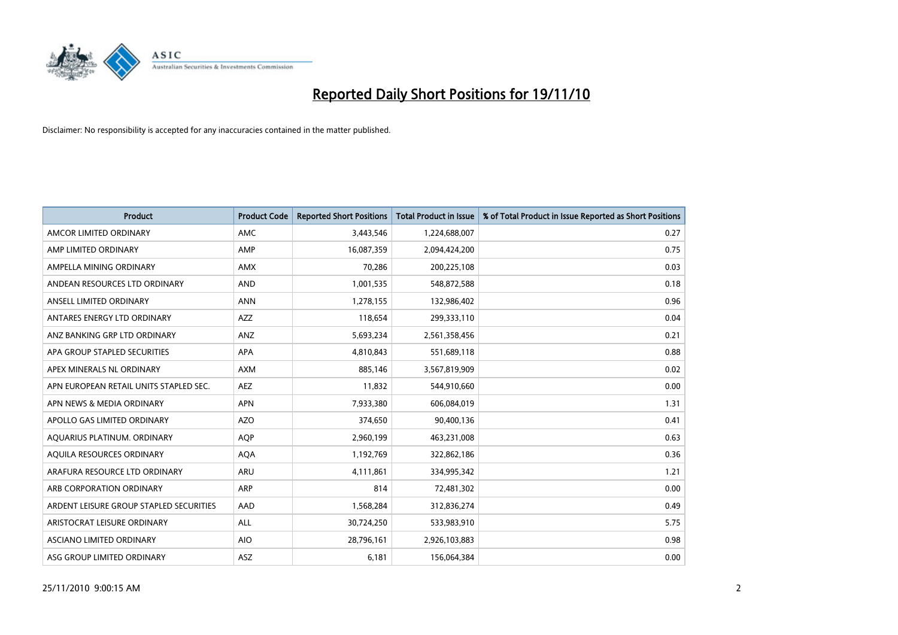

| Product                                 | <b>Product Code</b> | <b>Reported Short Positions</b> | <b>Total Product in Issue</b> | % of Total Product in Issue Reported as Short Positions |
|-----------------------------------------|---------------------|---------------------------------|-------------------------------|---------------------------------------------------------|
| AMCOR LIMITED ORDINARY                  | <b>AMC</b>          | 3,443,546                       | 1,224,688,007                 | 0.27                                                    |
| AMP LIMITED ORDINARY                    | AMP                 | 16,087,359                      | 2,094,424,200                 | 0.75                                                    |
| AMPELLA MINING ORDINARY                 | <b>AMX</b>          | 70,286                          | 200,225,108                   | 0.03                                                    |
| ANDEAN RESOURCES LTD ORDINARY           | <b>AND</b>          | 1,001,535                       | 548,872,588                   | 0.18                                                    |
| ANSELL LIMITED ORDINARY                 | <b>ANN</b>          | 1,278,155                       | 132,986,402                   | 0.96                                                    |
| ANTARES ENERGY LTD ORDINARY             | AZZ                 | 118,654                         | 299,333,110                   | 0.04                                                    |
| ANZ BANKING GRP LTD ORDINARY            | ANZ                 | 5,693,234                       | 2,561,358,456                 | 0.21                                                    |
| APA GROUP STAPLED SECURITIES            | <b>APA</b>          | 4,810,843                       | 551,689,118                   | 0.88                                                    |
| APEX MINERALS NL ORDINARY               | <b>AXM</b>          | 885,146                         | 3,567,819,909                 | 0.02                                                    |
| APN EUROPEAN RETAIL UNITS STAPLED SEC.  | <b>AEZ</b>          | 11,832                          | 544,910,660                   | 0.00                                                    |
| APN NEWS & MEDIA ORDINARY               | <b>APN</b>          | 7,933,380                       | 606,084,019                   | 1.31                                                    |
| APOLLO GAS LIMITED ORDINARY             | <b>AZO</b>          | 374,650                         | 90,400,136                    | 0.41                                                    |
| AQUARIUS PLATINUM. ORDINARY             | <b>AOP</b>          | 2,960,199                       | 463,231,008                   | 0.63                                                    |
| AOUILA RESOURCES ORDINARY               | <b>AQA</b>          | 1,192,769                       | 322,862,186                   | 0.36                                                    |
| ARAFURA RESOURCE LTD ORDINARY           | <b>ARU</b>          | 4,111,861                       | 334,995,342                   | 1.21                                                    |
| ARB CORPORATION ORDINARY                | <b>ARP</b>          | 814                             | 72,481,302                    | 0.00                                                    |
| ARDENT LEISURE GROUP STAPLED SECURITIES | AAD                 | 1,568,284                       | 312,836,274                   | 0.49                                                    |
| ARISTOCRAT LEISURE ORDINARY             | <b>ALL</b>          | 30,724,250                      | 533,983,910                   | 5.75                                                    |
| ASCIANO LIMITED ORDINARY                | <b>AIO</b>          | 28,796,161                      | 2,926,103,883                 | 0.98                                                    |
| ASG GROUP LIMITED ORDINARY              | <b>ASZ</b>          | 6,181                           | 156,064,384                   | 0.00                                                    |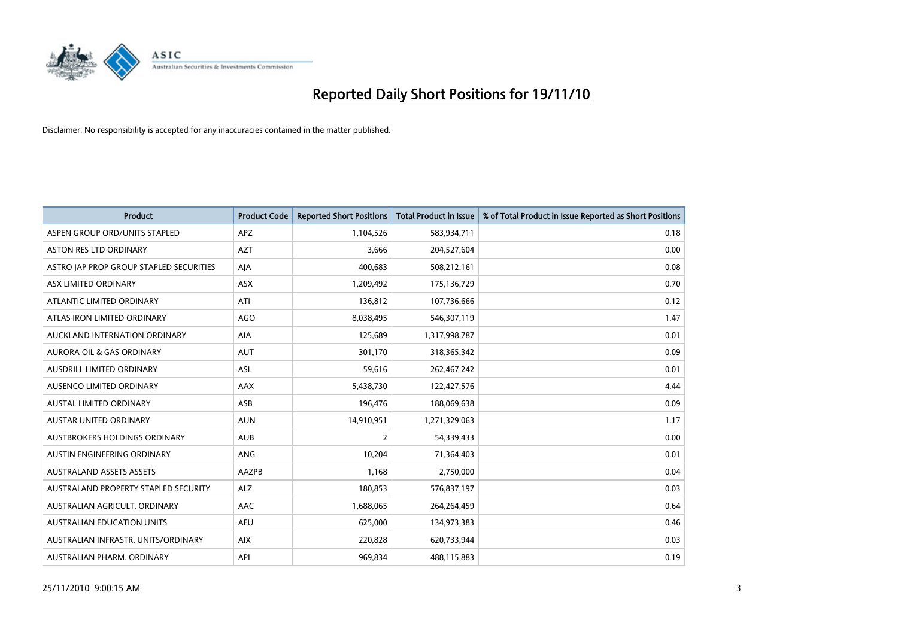

| Product                                 | <b>Product Code</b> | <b>Reported Short Positions</b> | Total Product in Issue | % of Total Product in Issue Reported as Short Positions |
|-----------------------------------------|---------------------|---------------------------------|------------------------|---------------------------------------------------------|
| ASPEN GROUP ORD/UNITS STAPLED           | <b>APZ</b>          | 1,104,526                       | 583,934,711            | 0.18                                                    |
| ASTON RES LTD ORDINARY                  | <b>AZT</b>          | 3,666                           | 204,527,604            | 0.00                                                    |
| ASTRO JAP PROP GROUP STAPLED SECURITIES | AJA                 | 400,683                         | 508,212,161            | 0.08                                                    |
| <b>ASX LIMITED ORDINARY</b>             | ASX                 | 1,209,492                       | 175,136,729            | 0.70                                                    |
| ATLANTIC LIMITED ORDINARY               | ATI                 | 136,812                         | 107,736,666            | 0.12                                                    |
| ATLAS IRON LIMITED ORDINARY             | <b>AGO</b>          | 8,038,495                       | 546,307,119            | 1.47                                                    |
| AUCKLAND INTERNATION ORDINARY           | AIA                 | 125,689                         | 1,317,998,787          | 0.01                                                    |
| AURORA OIL & GAS ORDINARY               | <b>AUT</b>          | 301,170                         | 318,365,342            | 0.09                                                    |
| AUSDRILL LIMITED ORDINARY               | ASL                 | 59,616                          | 262,467,242            | 0.01                                                    |
| AUSENCO LIMITED ORDINARY                | AAX                 | 5,438,730                       | 122,427,576            | 4.44                                                    |
| <b>AUSTAL LIMITED ORDINARY</b>          | ASB                 | 196,476                         | 188,069,638            | 0.09                                                    |
| <b>AUSTAR UNITED ORDINARY</b>           | <b>AUN</b>          | 14,910,951                      | 1,271,329,063          | 1.17                                                    |
| AUSTBROKERS HOLDINGS ORDINARY           | <b>AUB</b>          | $\overline{2}$                  | 54,339,433             | 0.00                                                    |
| AUSTIN ENGINEERING ORDINARY             | ANG                 | 10,204                          | 71,364,403             | 0.01                                                    |
| <b>AUSTRALAND ASSETS ASSETS</b>         | AAZPB               | 1,168                           | 2,750,000              | 0.04                                                    |
| AUSTRALAND PROPERTY STAPLED SECURITY    | <b>ALZ</b>          | 180,853                         | 576,837,197            | 0.03                                                    |
| AUSTRALIAN AGRICULT, ORDINARY           | AAC                 | 1,688,065                       | 264,264,459            | 0.64                                                    |
| AUSTRALIAN EDUCATION UNITS              | <b>AEU</b>          | 625,000                         | 134,973,383            | 0.46                                                    |
| AUSTRALIAN INFRASTR, UNITS/ORDINARY     | <b>AIX</b>          | 220,828                         | 620,733,944            | 0.03                                                    |
| AUSTRALIAN PHARM. ORDINARY              | API                 | 969,834                         | 488,115,883            | 0.19                                                    |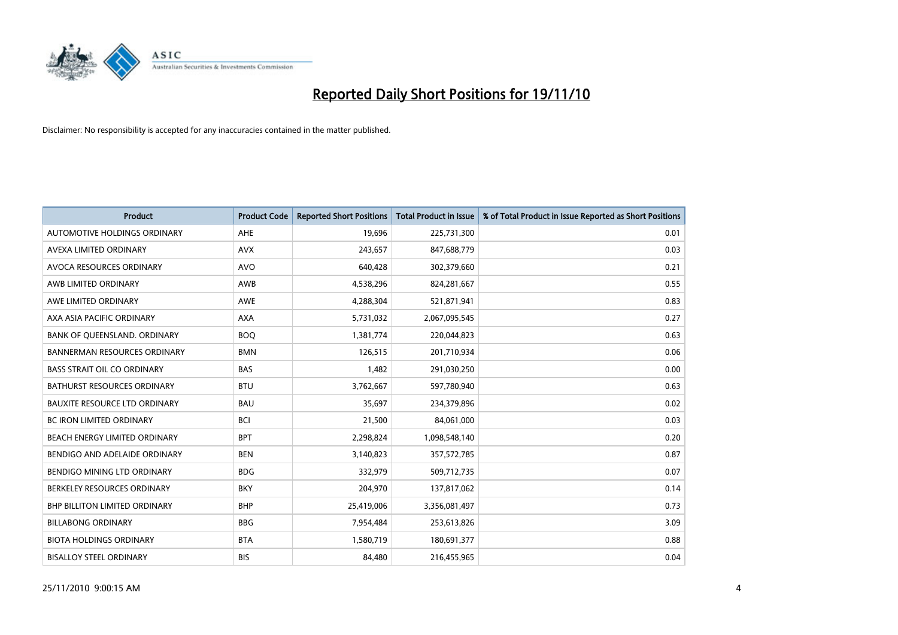

| Product                              | <b>Product Code</b> | <b>Reported Short Positions</b> | Total Product in Issue | % of Total Product in Issue Reported as Short Positions |
|--------------------------------------|---------------------|---------------------------------|------------------------|---------------------------------------------------------|
| AUTOMOTIVE HOLDINGS ORDINARY         | AHE                 | 19,696                          | 225,731,300            | 0.01                                                    |
| AVEXA LIMITED ORDINARY               | <b>AVX</b>          | 243,657                         | 847,688,779            | 0.03                                                    |
| AVOCA RESOURCES ORDINARY             | <b>AVO</b>          | 640,428                         | 302,379,660            | 0.21                                                    |
| AWB LIMITED ORDINARY                 | AWB                 | 4,538,296                       | 824,281,667            | 0.55                                                    |
| AWE LIMITED ORDINARY                 | AWE                 | 4,288,304                       | 521,871,941            | 0.83                                                    |
| AXA ASIA PACIFIC ORDINARY            | <b>AXA</b>          | 5,731,032                       | 2,067,095,545          | 0.27                                                    |
| BANK OF QUEENSLAND. ORDINARY         | <b>BOQ</b>          | 1,381,774                       | 220,044,823            | 0.63                                                    |
| <b>BANNERMAN RESOURCES ORDINARY</b>  | <b>BMN</b>          | 126,515                         | 201,710,934            | 0.06                                                    |
| BASS STRAIT OIL CO ORDINARY          | <b>BAS</b>          | 1,482                           | 291,030,250            | 0.00                                                    |
| <b>BATHURST RESOURCES ORDINARY</b>   | <b>BTU</b>          | 3,762,667                       | 597,780,940            | 0.63                                                    |
| <b>BAUXITE RESOURCE LTD ORDINARY</b> | <b>BAU</b>          | 35,697                          | 234,379,896            | 0.02                                                    |
| <b>BC IRON LIMITED ORDINARY</b>      | <b>BCI</b>          | 21,500                          | 84,061,000             | 0.03                                                    |
| <b>BEACH ENERGY LIMITED ORDINARY</b> | <b>BPT</b>          | 2,298,824                       | 1,098,548,140          | 0.20                                                    |
| BENDIGO AND ADELAIDE ORDINARY        | <b>BEN</b>          | 3,140,823                       | 357,572,785            | 0.87                                                    |
| BENDIGO MINING LTD ORDINARY          | <b>BDG</b>          | 332,979                         | 509,712,735            | 0.07                                                    |
| BERKELEY RESOURCES ORDINARY          | <b>BKY</b>          | 204,970                         | 137,817,062            | 0.14                                                    |
| <b>BHP BILLITON LIMITED ORDINARY</b> | <b>BHP</b>          | 25,419,006                      | 3,356,081,497          | 0.73                                                    |
| <b>BILLABONG ORDINARY</b>            | <b>BBG</b>          | 7,954,484                       | 253,613,826            | 3.09                                                    |
| <b>BIOTA HOLDINGS ORDINARY</b>       | <b>BTA</b>          | 1,580,719                       | 180,691,377            | 0.88                                                    |
| <b>BISALLOY STEEL ORDINARY</b>       | <b>BIS</b>          | 84,480                          | 216,455,965            | 0.04                                                    |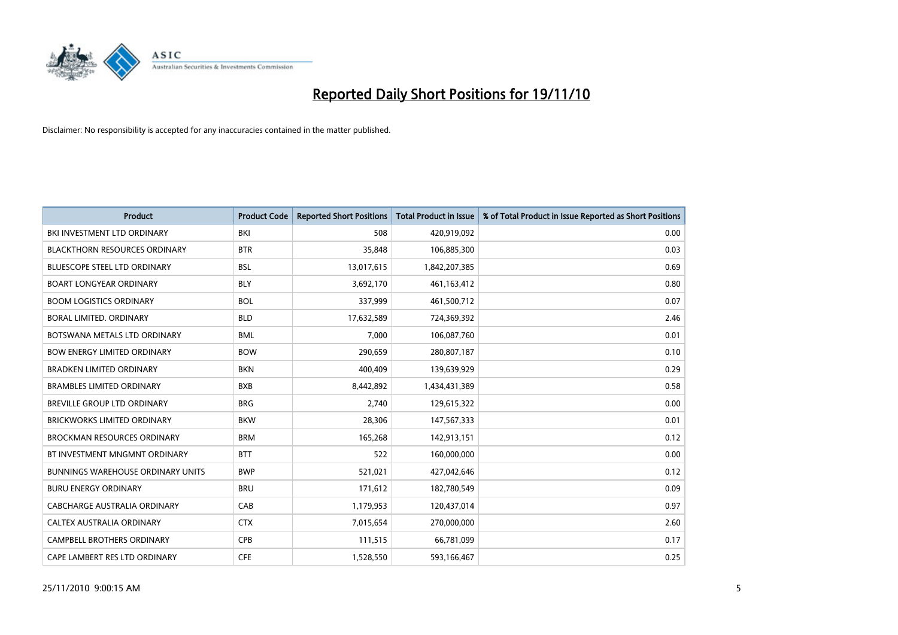

| <b>Product</b>                           | <b>Product Code</b> | <b>Reported Short Positions</b> | <b>Total Product in Issue</b> | % of Total Product in Issue Reported as Short Positions |
|------------------------------------------|---------------------|---------------------------------|-------------------------------|---------------------------------------------------------|
| BKI INVESTMENT LTD ORDINARY              | <b>BKI</b>          | 508                             | 420,919,092                   | 0.00                                                    |
| <b>BLACKTHORN RESOURCES ORDINARY</b>     | <b>BTR</b>          | 35,848                          | 106,885,300                   | 0.03                                                    |
| <b>BLUESCOPE STEEL LTD ORDINARY</b>      | <b>BSL</b>          | 13,017,615                      | 1,842,207,385                 | 0.69                                                    |
| <b>BOART LONGYEAR ORDINARY</b>           | <b>BLY</b>          | 3,692,170                       | 461,163,412                   | 0.80                                                    |
| <b>BOOM LOGISTICS ORDINARY</b>           | <b>BOL</b>          | 337,999                         | 461,500,712                   | 0.07                                                    |
| <b>BORAL LIMITED, ORDINARY</b>           | <b>BLD</b>          | 17,632,589                      | 724,369,392                   | 2.46                                                    |
| BOTSWANA METALS LTD ORDINARY             | <b>BML</b>          | 7,000                           | 106,087,760                   | 0.01                                                    |
| <b>BOW ENERGY LIMITED ORDINARY</b>       | <b>BOW</b>          | 290,659                         | 280,807,187                   | 0.10                                                    |
| <b>BRADKEN LIMITED ORDINARY</b>          | <b>BKN</b>          | 400,409                         | 139,639,929                   | 0.29                                                    |
| <b>BRAMBLES LIMITED ORDINARY</b>         | <b>BXB</b>          | 8,442,892                       | 1,434,431,389                 | 0.58                                                    |
| <b>BREVILLE GROUP LTD ORDINARY</b>       | <b>BRG</b>          | 2,740                           | 129,615,322                   | 0.00                                                    |
| <b>BRICKWORKS LIMITED ORDINARY</b>       | <b>BKW</b>          | 28,306                          | 147,567,333                   | 0.01                                                    |
| <b>BROCKMAN RESOURCES ORDINARY</b>       | <b>BRM</b>          | 165,268                         | 142,913,151                   | 0.12                                                    |
| BT INVESTMENT MNGMNT ORDINARY            | <b>BTT</b>          | 522                             | 160,000,000                   | 0.00                                                    |
| <b>BUNNINGS WAREHOUSE ORDINARY UNITS</b> | <b>BWP</b>          | 521,021                         | 427,042,646                   | 0.12                                                    |
| <b>BURU ENERGY ORDINARY</b>              | <b>BRU</b>          | 171,612                         | 182,780,549                   | 0.09                                                    |
| CABCHARGE AUSTRALIA ORDINARY             | CAB                 | 1,179,953                       | 120,437,014                   | 0.97                                                    |
| CALTEX AUSTRALIA ORDINARY                | <b>CTX</b>          | 7,015,654                       | 270,000,000                   | 2.60                                                    |
| <b>CAMPBELL BROTHERS ORDINARY</b>        | CPB                 | 111,515                         | 66,781,099                    | 0.17                                                    |
| CAPE LAMBERT RES LTD ORDINARY            | <b>CFE</b>          | 1,528,550                       | 593,166,467                   | 0.25                                                    |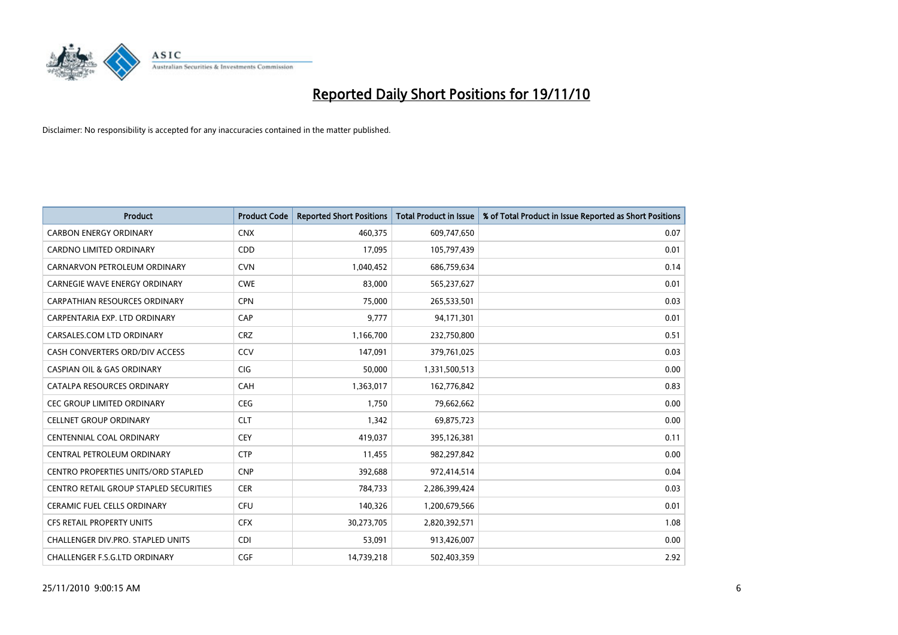

| <b>Product</b>                                | <b>Product Code</b> | <b>Reported Short Positions</b> | Total Product in Issue | % of Total Product in Issue Reported as Short Positions |
|-----------------------------------------------|---------------------|---------------------------------|------------------------|---------------------------------------------------------|
| <b>CARBON ENERGY ORDINARY</b>                 | <b>CNX</b>          | 460,375                         | 609,747,650            | 0.07                                                    |
| CARDNO LIMITED ORDINARY                       | CDD                 | 17,095                          | 105,797,439            | 0.01                                                    |
| CARNARVON PETROLEUM ORDINARY                  | <b>CVN</b>          | 1,040,452                       | 686,759,634            | 0.14                                                    |
| CARNEGIE WAVE ENERGY ORDINARY                 | <b>CWE</b>          | 83,000                          | 565,237,627            | 0.01                                                    |
| <b>CARPATHIAN RESOURCES ORDINARY</b>          | <b>CPN</b>          | 75,000                          | 265,533,501            | 0.03                                                    |
| CARPENTARIA EXP. LTD ORDINARY                 | CAP                 | 9,777                           | 94,171,301             | 0.01                                                    |
| CARSALES.COM LTD ORDINARY                     | <b>CRZ</b>          | 1,166,700                       | 232,750,800            | 0.51                                                    |
| CASH CONVERTERS ORD/DIV ACCESS                | CCV                 | 147,091                         | 379,761,025            | 0.03                                                    |
| <b>CASPIAN OIL &amp; GAS ORDINARY</b>         | CIG                 | 50,000                          | 1,331,500,513          | 0.00                                                    |
| CATALPA RESOURCES ORDINARY                    | CAH                 | 1,363,017                       | 162,776,842            | 0.83                                                    |
| <b>CEC GROUP LIMITED ORDINARY</b>             | <b>CEG</b>          | 1,750                           | 79,662,662             | 0.00                                                    |
| <b>CELLNET GROUP ORDINARY</b>                 | <b>CLT</b>          | 1,342                           | 69,875,723             | 0.00                                                    |
| <b>CENTENNIAL COAL ORDINARY</b>               | <b>CEY</b>          | 419,037                         | 395,126,381            | 0.11                                                    |
| CENTRAL PETROLEUM ORDINARY                    | <b>CTP</b>          | 11,455                          | 982,297,842            | 0.00                                                    |
| <b>CENTRO PROPERTIES UNITS/ORD STAPLED</b>    | <b>CNP</b>          | 392,688                         | 972,414,514            | 0.04                                                    |
| <b>CENTRO RETAIL GROUP STAPLED SECURITIES</b> | <b>CER</b>          | 784,733                         | 2,286,399,424          | 0.03                                                    |
| <b>CERAMIC FUEL CELLS ORDINARY</b>            | <b>CFU</b>          | 140,326                         | 1,200,679,566          | 0.01                                                    |
| CFS RETAIL PROPERTY UNITS                     | <b>CFX</b>          | 30,273,705                      | 2,820,392,571          | 1.08                                                    |
| CHALLENGER DIV.PRO. STAPLED UNITS             | <b>CDI</b>          | 53,091                          | 913,426,007            | 0.00                                                    |
| CHALLENGER F.S.G.LTD ORDINARY                 | <b>CGF</b>          | 14,739,218                      | 502,403,359            | 2.92                                                    |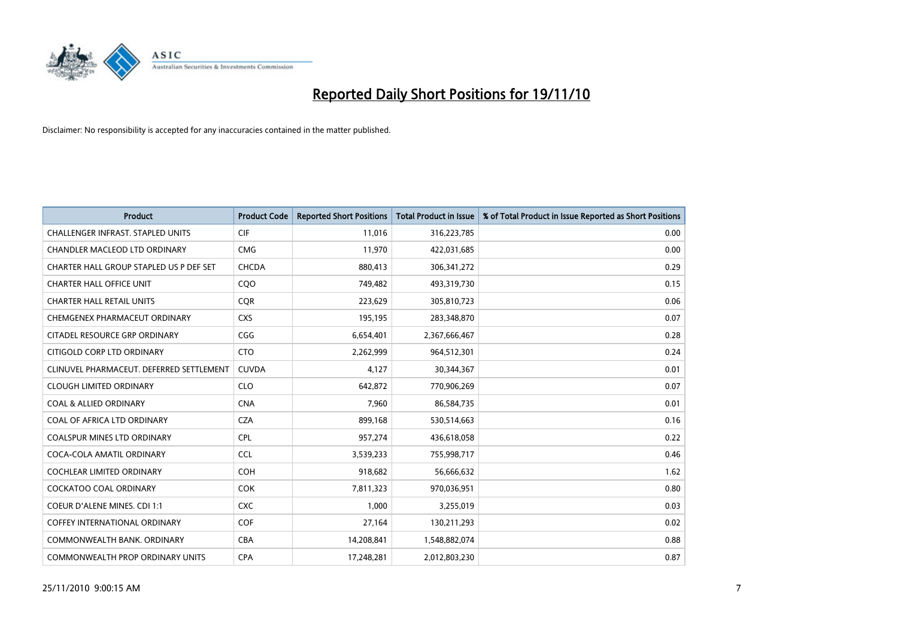

| <b>Product</b>                           | <b>Product Code</b> | <b>Reported Short Positions</b> | Total Product in Issue | % of Total Product in Issue Reported as Short Positions |
|------------------------------------------|---------------------|---------------------------------|------------------------|---------------------------------------------------------|
| <b>CHALLENGER INFRAST, STAPLED UNITS</b> | <b>CIF</b>          | 11,016                          | 316,223,785            | 0.00                                                    |
| CHANDLER MACLEOD LTD ORDINARY            | <b>CMG</b>          | 11,970                          | 422,031,685            | 0.00                                                    |
| CHARTER HALL GROUP STAPLED US P DEF SET  | CHCDA               | 880,413                         | 306, 341, 272          | 0.29                                                    |
| <b>CHARTER HALL OFFICE UNIT</b>          | CQO                 | 749,482                         | 493,319,730            | 0.15                                                    |
| <b>CHARTER HALL RETAIL UNITS</b>         | <b>COR</b>          | 223,629                         | 305,810,723            | 0.06                                                    |
| CHEMGENEX PHARMACEUT ORDINARY            | <b>CXS</b>          | 195,195                         | 283,348,870            | 0.07                                                    |
| CITADEL RESOURCE GRP ORDINARY            | CGG                 | 6,654,401                       | 2,367,666,467          | 0.28                                                    |
| CITIGOLD CORP LTD ORDINARY               | <b>CTO</b>          | 2,262,999                       | 964,512,301            | 0.24                                                    |
| CLINUVEL PHARMACEUT. DEFERRED SETTLEMENT | <b>CUVDA</b>        | 4,127                           | 30,344,367             | 0.01                                                    |
| <b>CLOUGH LIMITED ORDINARY</b>           | <b>CLO</b>          | 642,872                         | 770,906,269            | 0.07                                                    |
| <b>COAL &amp; ALLIED ORDINARY</b>        | <b>CNA</b>          | 7,960                           | 86,584,735             | 0.01                                                    |
| COAL OF AFRICA LTD ORDINARY              | <b>CZA</b>          | 899,168                         | 530,514,663            | 0.16                                                    |
| <b>COALSPUR MINES LTD ORDINARY</b>       | <b>CPL</b>          | 957,274                         | 436,618,058            | 0.22                                                    |
| COCA-COLA AMATIL ORDINARY                | <b>CCL</b>          | 3,539,233                       | 755,998,717            | 0.46                                                    |
| <b>COCHLEAR LIMITED ORDINARY</b>         | <b>COH</b>          | 918,682                         | 56,666,632             | 1.62                                                    |
| <b>COCKATOO COAL ORDINARY</b>            | <b>COK</b>          | 7,811,323                       | 970,036,951            | 0.80                                                    |
| <b>COEUR D'ALENE MINES. CDI 1:1</b>      | <b>CXC</b>          | 1,000                           | 3,255,019              | 0.03                                                    |
| <b>COFFEY INTERNATIONAL ORDINARY</b>     | <b>COF</b>          | 27,164                          | 130,211,293            | 0.02                                                    |
| COMMONWEALTH BANK, ORDINARY              | <b>CBA</b>          | 14,208,841                      | 1,548,882,074          | 0.88                                                    |
| COMMONWEALTH PROP ORDINARY UNITS         | <b>CPA</b>          | 17,248,281                      | 2,012,803,230          | 0.87                                                    |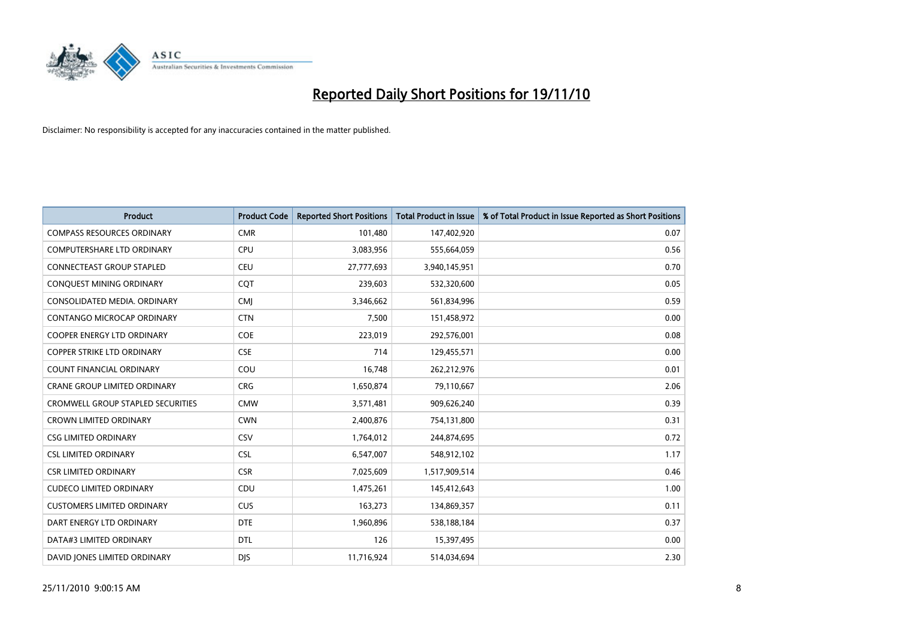

| <b>Product</b>                           | <b>Product Code</b> | <b>Reported Short Positions</b> | Total Product in Issue | % of Total Product in Issue Reported as Short Positions |
|------------------------------------------|---------------------|---------------------------------|------------------------|---------------------------------------------------------|
| <b>COMPASS RESOURCES ORDINARY</b>        | <b>CMR</b>          | 101,480                         | 147,402,920            | 0.07                                                    |
| <b>COMPUTERSHARE LTD ORDINARY</b>        | <b>CPU</b>          | 3,083,956                       | 555,664,059            | 0.56                                                    |
| CONNECTEAST GROUP STAPLED                | <b>CEU</b>          | 27,777,693                      | 3,940,145,951          | 0.70                                                    |
| CONQUEST MINING ORDINARY                 | <b>COT</b>          | 239,603                         | 532,320,600            | 0.05                                                    |
| CONSOLIDATED MEDIA, ORDINARY             | <b>CMI</b>          | 3,346,662                       | 561,834,996            | 0.59                                                    |
| CONTANGO MICROCAP ORDINARY               | <b>CTN</b>          | 7,500                           | 151,458,972            | 0.00                                                    |
| <b>COOPER ENERGY LTD ORDINARY</b>        | COE                 | 223,019                         | 292,576,001            | 0.08                                                    |
| <b>COPPER STRIKE LTD ORDINARY</b>        | <b>CSE</b>          | 714                             | 129,455,571            | 0.00                                                    |
| COUNT FINANCIAL ORDINARY                 | COU                 | 16,748                          | 262,212,976            | 0.01                                                    |
| <b>CRANE GROUP LIMITED ORDINARY</b>      | <b>CRG</b>          | 1,650,874                       | 79,110,667             | 2.06                                                    |
| <b>CROMWELL GROUP STAPLED SECURITIES</b> | <b>CMW</b>          | 3,571,481                       | 909,626,240            | 0.39                                                    |
| <b>CROWN LIMITED ORDINARY</b>            | <b>CWN</b>          | 2,400,876                       | 754,131,800            | 0.31                                                    |
| <b>CSG LIMITED ORDINARY</b>              | CSV                 | 1,764,012                       | 244,874,695            | 0.72                                                    |
| <b>CSL LIMITED ORDINARY</b>              | <b>CSL</b>          | 6,547,007                       | 548,912,102            | 1.17                                                    |
| <b>CSR LIMITED ORDINARY</b>              | <b>CSR</b>          | 7,025,609                       | 1,517,909,514          | 0.46                                                    |
| <b>CUDECO LIMITED ORDINARY</b>           | CDU                 | 1,475,261                       | 145,412,643            | 1.00                                                    |
| <b>CUSTOMERS LIMITED ORDINARY</b>        | <b>CUS</b>          | 163,273                         | 134,869,357            | 0.11                                                    |
| DART ENERGY LTD ORDINARY                 | <b>DTE</b>          | 1,960,896                       | 538,188,184            | 0.37                                                    |
| DATA#3 LIMITED ORDINARY                  | <b>DTL</b>          | 126                             | 15,397,495             | 0.00                                                    |
| DAVID JONES LIMITED ORDINARY             | <b>DJS</b>          | 11,716,924                      | 514,034,694            | 2.30                                                    |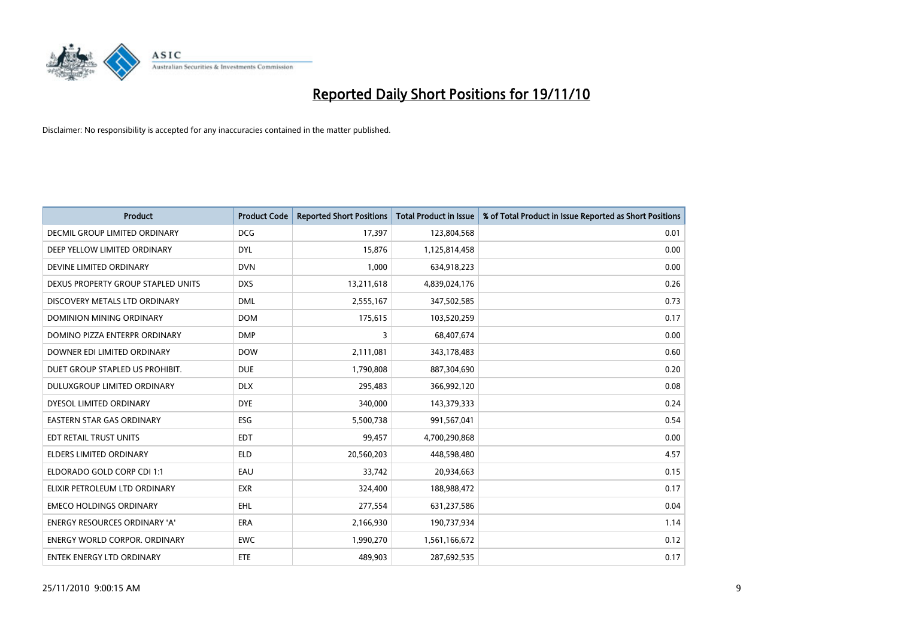

| Product                              | <b>Product Code</b> | <b>Reported Short Positions</b> | <b>Total Product in Issue</b> | % of Total Product in Issue Reported as Short Positions |
|--------------------------------------|---------------------|---------------------------------|-------------------------------|---------------------------------------------------------|
| DECMIL GROUP LIMITED ORDINARY        | <b>DCG</b>          | 17,397                          | 123,804,568                   | 0.01                                                    |
| DEEP YELLOW LIMITED ORDINARY         | <b>DYL</b>          | 15,876                          | 1,125,814,458                 | 0.00                                                    |
| DEVINE LIMITED ORDINARY              | <b>DVN</b>          | 1,000                           | 634,918,223                   | 0.00                                                    |
| DEXUS PROPERTY GROUP STAPLED UNITS   | <b>DXS</b>          | 13,211,618                      | 4,839,024,176                 | 0.26                                                    |
| DISCOVERY METALS LTD ORDINARY        | <b>DML</b>          | 2,555,167                       | 347,502,585                   | 0.73                                                    |
| DOMINION MINING ORDINARY             | <b>DOM</b>          | 175,615                         | 103,520,259                   | 0.17                                                    |
| DOMINO PIZZA ENTERPR ORDINARY        | <b>DMP</b>          | 3                               | 68,407,674                    | 0.00                                                    |
| DOWNER EDI LIMITED ORDINARY          | <b>DOW</b>          | 2,111,081                       | 343,178,483                   | 0.60                                                    |
| DUET GROUP STAPLED US PROHIBIT.      | <b>DUE</b>          | 1,790,808                       | 887,304,690                   | 0.20                                                    |
| DULUXGROUP LIMITED ORDINARY          | <b>DLX</b>          | 295,483                         | 366,992,120                   | 0.08                                                    |
| DYESOL LIMITED ORDINARY              | <b>DYE</b>          | 340,000                         | 143,379,333                   | 0.24                                                    |
| <b>EASTERN STAR GAS ORDINARY</b>     | ESG                 | 5,500,738                       | 991,567,041                   | 0.54                                                    |
| EDT RETAIL TRUST UNITS               | <b>EDT</b>          | 99,457                          | 4,700,290,868                 | 0.00                                                    |
| <b>ELDERS LIMITED ORDINARY</b>       | <b>ELD</b>          | 20,560,203                      | 448,598,480                   | 4.57                                                    |
| ELDORADO GOLD CORP CDI 1:1           | EAU                 | 33,742                          | 20,934,663                    | 0.15                                                    |
| ELIXIR PETROLEUM LTD ORDINARY        | <b>EXR</b>          | 324,400                         | 188,988,472                   | 0.17                                                    |
| <b>EMECO HOLDINGS ORDINARY</b>       | <b>EHL</b>          | 277,554                         | 631,237,586                   | 0.04                                                    |
| ENERGY RESOURCES ORDINARY 'A'        | <b>ERA</b>          | 2,166,930                       | 190,737,934                   | 1.14                                                    |
| <b>ENERGY WORLD CORPOR, ORDINARY</b> | <b>EWC</b>          | 1,990,270                       | 1,561,166,672                 | 0.12                                                    |
| <b>ENTEK ENERGY LTD ORDINARY</b>     | <b>ETE</b>          | 489,903                         | 287,692,535                   | 0.17                                                    |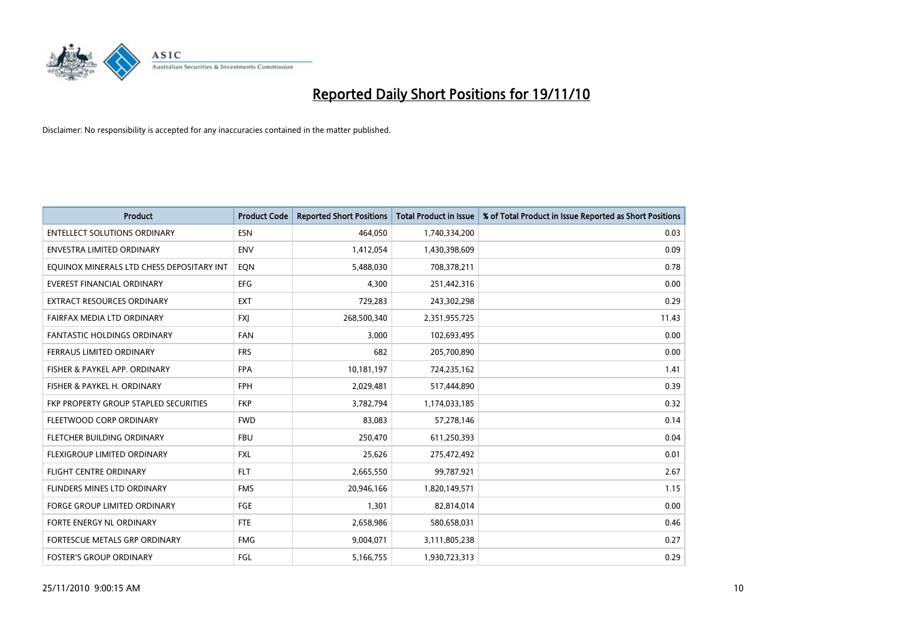

| Product                                   | <b>Product Code</b> | <b>Reported Short Positions</b> | Total Product in Issue | % of Total Product in Issue Reported as Short Positions |
|-------------------------------------------|---------------------|---------------------------------|------------------------|---------------------------------------------------------|
| <b>ENTELLECT SOLUTIONS ORDINARY</b>       | <b>ESN</b>          | 464,050                         | 1,740,334,200          | 0.03                                                    |
| ENVESTRA LIMITED ORDINARY                 | <b>ENV</b>          | 1,412,054                       | 1,430,398,609          | 0.09                                                    |
| EQUINOX MINERALS LTD CHESS DEPOSITARY INT | EON                 | 5,488,030                       | 708,378,211            | 0.78                                                    |
| <b>EVEREST FINANCIAL ORDINARY</b>         | <b>EFG</b>          | 4,300                           | 251,442,316            | 0.00                                                    |
| <b>EXTRACT RESOURCES ORDINARY</b>         | <b>EXT</b>          | 729,283                         | 243,302,298            | 0.29                                                    |
| FAIRFAX MEDIA LTD ORDINARY                | <b>FXI</b>          | 268,500,340                     | 2,351,955,725          | 11.43                                                   |
| <b>FANTASTIC HOLDINGS ORDINARY</b>        | <b>FAN</b>          | 3,000                           | 102,693,495            | 0.00                                                    |
| <b>FERRAUS LIMITED ORDINARY</b>           | <b>FRS</b>          | 682                             | 205,700,890            | 0.00                                                    |
| FISHER & PAYKEL APP. ORDINARY             | <b>FPA</b>          | 10,181,197                      | 724,235,162            | 1.41                                                    |
| FISHER & PAYKEL H. ORDINARY               | <b>FPH</b>          | 2,029,481                       | 517,444,890            | 0.39                                                    |
| FKP PROPERTY GROUP STAPLED SECURITIES     | <b>FKP</b>          | 3,782,794                       | 1,174,033,185          | 0.32                                                    |
| FLEETWOOD CORP ORDINARY                   | <b>FWD</b>          | 83,083                          | 57,278,146             | 0.14                                                    |
| FLETCHER BUILDING ORDINARY                | <b>FBU</b>          | 250,470                         | 611,250,393            | 0.04                                                    |
| FLEXIGROUP LIMITED ORDINARY               | <b>FXL</b>          | 25,626                          | 275,472,492            | 0.01                                                    |
| <b>FLIGHT CENTRE ORDINARY</b>             | <b>FLT</b>          | 2,665,550                       | 99,787,921             | 2.67                                                    |
| FLINDERS MINES LTD ORDINARY               | <b>FMS</b>          | 20,946,166                      | 1,820,149,571          | 1.15                                                    |
| <b>FORGE GROUP LIMITED ORDINARY</b>       | FGE                 | 1,301                           | 82,814,014             | 0.00                                                    |
| FORTE ENERGY NL ORDINARY                  | <b>FTE</b>          | 2,658,986                       | 580,658,031            | 0.46                                                    |
| FORTESCUE METALS GRP ORDINARY             | <b>FMG</b>          | 9,004,071                       | 3,111,805,238          | 0.27                                                    |
| <b>FOSTER'S GROUP ORDINARY</b>            | FGL                 | 5,166,755                       | 1,930,723,313          | 0.29                                                    |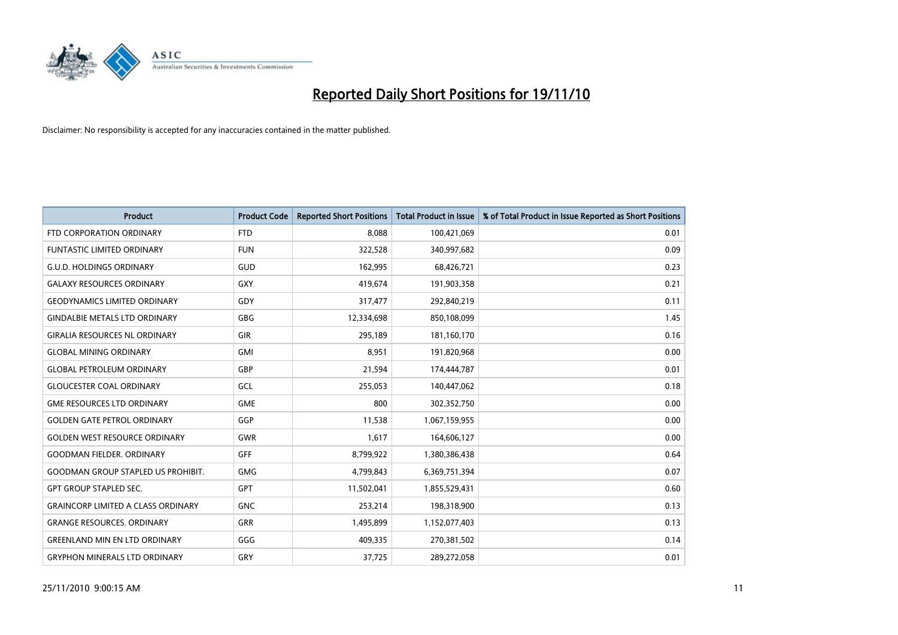

| Product                                   | <b>Product Code</b> | <b>Reported Short Positions</b> | <b>Total Product in Issue</b> | % of Total Product in Issue Reported as Short Positions |
|-------------------------------------------|---------------------|---------------------------------|-------------------------------|---------------------------------------------------------|
| FTD CORPORATION ORDINARY                  | <b>FTD</b>          | 8,088                           | 100,421,069                   | 0.01                                                    |
| <b>FUNTASTIC LIMITED ORDINARY</b>         | <b>FUN</b>          | 322,528                         | 340,997,682                   | 0.09                                                    |
| <b>G.U.D. HOLDINGS ORDINARY</b>           | <b>GUD</b>          | 162,995                         | 68,426,721                    | 0.23                                                    |
| <b>GALAXY RESOURCES ORDINARY</b>          | <b>GXY</b>          | 419,674                         | 191,903,358                   | 0.21                                                    |
| <b>GEODYNAMICS LIMITED ORDINARY</b>       | GDY                 | 317,477                         | 292,840,219                   | 0.11                                                    |
| <b>GINDALBIE METALS LTD ORDINARY</b>      | <b>GBG</b>          | 12,334,698                      | 850,108,099                   | 1.45                                                    |
| <b>GIRALIA RESOURCES NL ORDINARY</b>      | GIR                 | 295,189                         | 181,160,170                   | 0.16                                                    |
| <b>GLOBAL MINING ORDINARY</b>             | <b>GMI</b>          | 8,951                           | 191,820,968                   | 0.00                                                    |
| <b>GLOBAL PETROLEUM ORDINARY</b>          | <b>GBP</b>          | 21,594                          | 174,444,787                   | 0.01                                                    |
| <b>GLOUCESTER COAL ORDINARY</b>           | <b>GCL</b>          | 255,053                         | 140,447,062                   | 0.18                                                    |
| <b>GME RESOURCES LTD ORDINARY</b>         | <b>GME</b>          | 800                             | 302,352,750                   | 0.00                                                    |
| <b>GOLDEN GATE PETROL ORDINARY</b>        | GGP                 | 11,538                          | 1,067,159,955                 | 0.00                                                    |
| <b>GOLDEN WEST RESOURCE ORDINARY</b>      | <b>GWR</b>          | 1,617                           | 164,606,127                   | 0.00                                                    |
| <b>GOODMAN FIELDER, ORDINARY</b>          | <b>GFF</b>          | 8,799,922                       | 1,380,386,438                 | 0.64                                                    |
| <b>GOODMAN GROUP STAPLED US PROHIBIT.</b> | <b>GMG</b>          | 4,799,843                       | 6,369,751,394                 | 0.07                                                    |
| GPT GROUP STAPLED SEC.                    | <b>GPT</b>          | 11,502,041                      | 1,855,529,431                 | 0.60                                                    |
| <b>GRAINCORP LIMITED A CLASS ORDINARY</b> | <b>GNC</b>          | 253,214                         | 198,318,900                   | 0.13                                                    |
| <b>GRANGE RESOURCES. ORDINARY</b>         | <b>GRR</b>          | 1,495,899                       | 1,152,077,403                 | 0.13                                                    |
| <b>GREENLAND MIN EN LTD ORDINARY</b>      | GGG                 | 409,335                         | 270,381,502                   | 0.14                                                    |
| <b>GRYPHON MINERALS LTD ORDINARY</b>      | GRY                 | 37,725                          | 289,272,058                   | 0.01                                                    |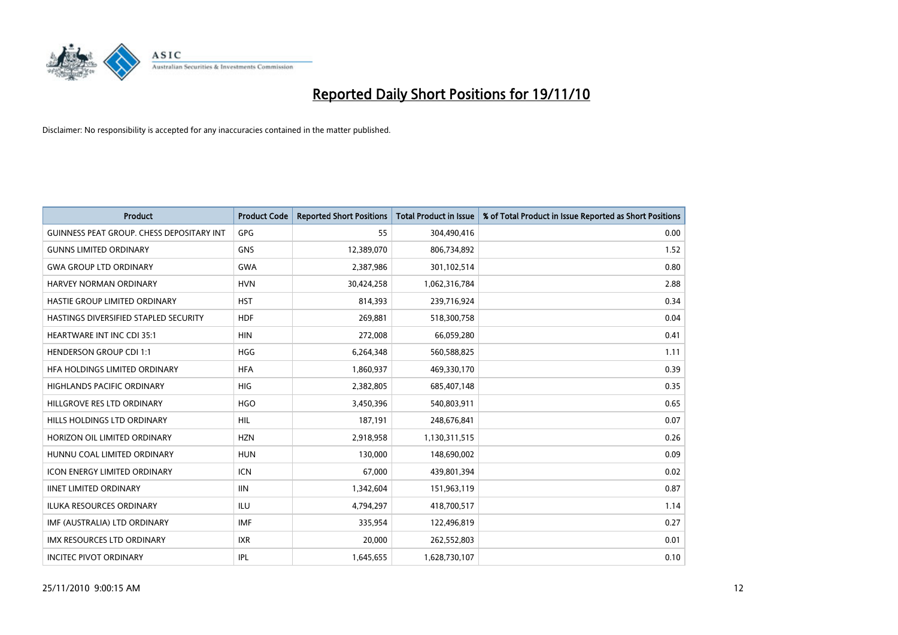

| Product                                          | <b>Product Code</b> | <b>Reported Short Positions</b> | Total Product in Issue | % of Total Product in Issue Reported as Short Positions |
|--------------------------------------------------|---------------------|---------------------------------|------------------------|---------------------------------------------------------|
| <b>GUINNESS PEAT GROUP. CHESS DEPOSITARY INT</b> | GPG                 | 55                              | 304,490,416            | 0.00                                                    |
| <b>GUNNS LIMITED ORDINARY</b>                    | <b>GNS</b>          | 12,389,070                      | 806,734,892            | 1.52                                                    |
| <b>GWA GROUP LTD ORDINARY</b>                    | <b>GWA</b>          | 2,387,986                       | 301,102,514            | 0.80                                                    |
| HARVEY NORMAN ORDINARY                           | <b>HVN</b>          | 30,424,258                      | 1,062,316,784          | 2.88                                                    |
| HASTIE GROUP LIMITED ORDINARY                    | <b>HST</b>          | 814,393                         | 239,716,924            | 0.34                                                    |
| HASTINGS DIVERSIFIED STAPLED SECURITY            | <b>HDF</b>          | 269,881                         | 518,300,758            | 0.04                                                    |
| <b>HEARTWARE INT INC CDI 35:1</b>                | <b>HIN</b>          | 272,008                         | 66,059,280             | 0.41                                                    |
| <b>HENDERSON GROUP CDI 1:1</b>                   | <b>HGG</b>          | 6,264,348                       | 560,588,825            | 1.11                                                    |
| HFA HOLDINGS LIMITED ORDINARY                    | <b>HFA</b>          | 1,860,937                       | 469,330,170            | 0.39                                                    |
| <b>HIGHLANDS PACIFIC ORDINARY</b>                | HIG                 | 2,382,805                       | 685,407,148            | 0.35                                                    |
| HILLGROVE RES LTD ORDINARY                       | <b>HGO</b>          | 3,450,396                       | 540,803,911            | 0.65                                                    |
| HILLS HOLDINGS LTD ORDINARY                      | <b>HIL</b>          | 187,191                         | 248,676,841            | 0.07                                                    |
| HORIZON OIL LIMITED ORDINARY                     | <b>HZN</b>          | 2,918,958                       | 1,130,311,515          | 0.26                                                    |
| HUNNU COAL LIMITED ORDINARY                      | <b>HUN</b>          | 130.000                         | 148,690,002            | 0.09                                                    |
| <b>ICON ENERGY LIMITED ORDINARY</b>              | <b>ICN</b>          | 67,000                          | 439,801,394            | 0.02                                                    |
| <b>IINET LIMITED ORDINARY</b>                    | <b>IIN</b>          | 1,342,604                       | 151,963,119            | 0.87                                                    |
| <b>ILUKA RESOURCES ORDINARY</b>                  | ILU                 | 4,794,297                       | 418,700,517            | 1.14                                                    |
| IMF (AUSTRALIA) LTD ORDINARY                     | <b>IMF</b>          | 335,954                         | 122,496,819            | 0.27                                                    |
| IMX RESOURCES LTD ORDINARY                       | <b>IXR</b>          | 20,000                          | 262,552,803            | 0.01                                                    |
| <b>INCITEC PIVOT ORDINARY</b>                    | <b>IPL</b>          | 1,645,655                       | 1,628,730,107          | 0.10                                                    |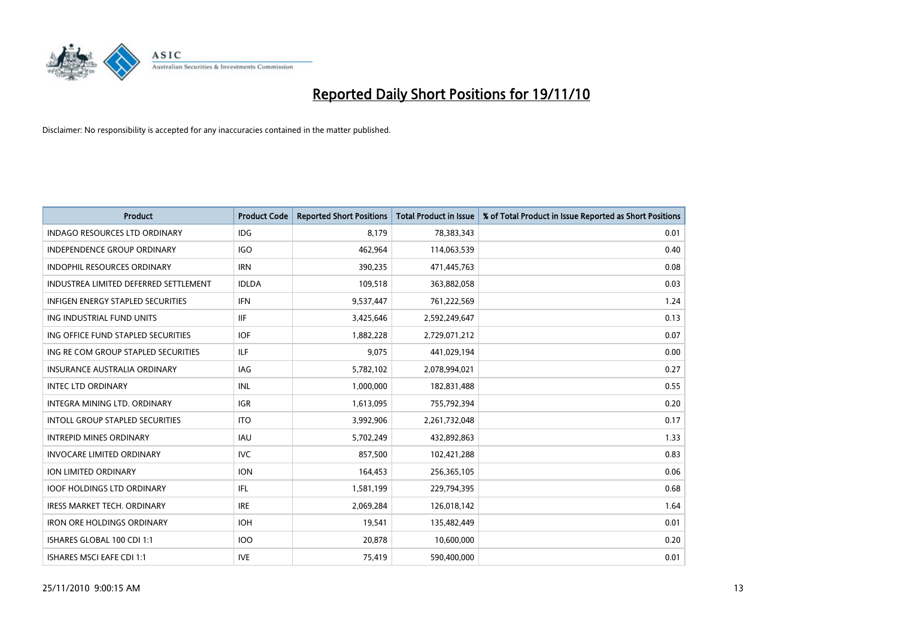

| <b>Product</b>                           | <b>Product Code</b> | <b>Reported Short Positions</b> | <b>Total Product in Issue</b> | % of Total Product in Issue Reported as Short Positions |
|------------------------------------------|---------------------|---------------------------------|-------------------------------|---------------------------------------------------------|
| <b>INDAGO RESOURCES LTD ORDINARY</b>     | IDG                 | 8,179                           | 78,383,343                    | 0.01                                                    |
| INDEPENDENCE GROUP ORDINARY              | <b>IGO</b>          | 462,964                         | 114,063,539                   | 0.40                                                    |
| <b>INDOPHIL RESOURCES ORDINARY</b>       | <b>IRN</b>          | 390,235                         | 471,445,763                   | 0.08                                                    |
| INDUSTREA LIMITED DEFERRED SETTLEMENT    | <b>IDLDA</b>        | 109,518                         | 363,882,058                   | 0.03                                                    |
| <b>INFIGEN ENERGY STAPLED SECURITIES</b> | <b>IFN</b>          | 9,537,447                       | 761,222,569                   | 1.24                                                    |
| ING INDUSTRIAL FUND UNITS                | <b>IIF</b>          | 3,425,646                       | 2,592,249,647                 | 0.13                                                    |
| ING OFFICE FUND STAPLED SECURITIES       | <b>IOF</b>          | 1,882,228                       | 2,729,071,212                 | 0.07                                                    |
| ING RE COM GROUP STAPLED SECURITIES      | ILF.                | 9,075                           | 441,029,194                   | 0.00                                                    |
| <b>INSURANCE AUSTRALIA ORDINARY</b>      | IAG                 | 5,782,102                       | 2,078,994,021                 | 0.27                                                    |
| <b>INTEC LTD ORDINARY</b>                | INL                 | 1,000,000                       | 182,831,488                   | 0.55                                                    |
| INTEGRA MINING LTD. ORDINARY             | <b>IGR</b>          | 1,613,095                       | 755,792,394                   | 0.20                                                    |
| <b>INTOLL GROUP STAPLED SECURITIES</b>   | <b>ITO</b>          | 3,992,906                       | 2,261,732,048                 | 0.17                                                    |
| <b>INTREPID MINES ORDINARY</b>           | <b>IAU</b>          | 5,702,249                       | 432,892,863                   | 1.33                                                    |
| <b>INVOCARE LIMITED ORDINARY</b>         | <b>IVC</b>          | 857,500                         | 102,421,288                   | 0.83                                                    |
| ION LIMITED ORDINARY                     | <b>ION</b>          | 164,453                         | 256,365,105                   | 0.06                                                    |
| <b>IOOF HOLDINGS LTD ORDINARY</b>        | IFL                 | 1,581,199                       | 229,794,395                   | 0.68                                                    |
| <b>IRESS MARKET TECH. ORDINARY</b>       | <b>IRE</b>          | 2,069,284                       | 126,018,142                   | 1.64                                                    |
| <b>IRON ORE HOLDINGS ORDINARY</b>        | <b>IOH</b>          | 19,541                          | 135,482,449                   | 0.01                                                    |
| ISHARES GLOBAL 100 CDI 1:1               | <b>IOO</b>          | 20,878                          | 10,600,000                    | 0.20                                                    |
| ISHARES MSCI EAFE CDI 1:1                | <b>IVE</b>          | 75,419                          | 590,400,000                   | 0.01                                                    |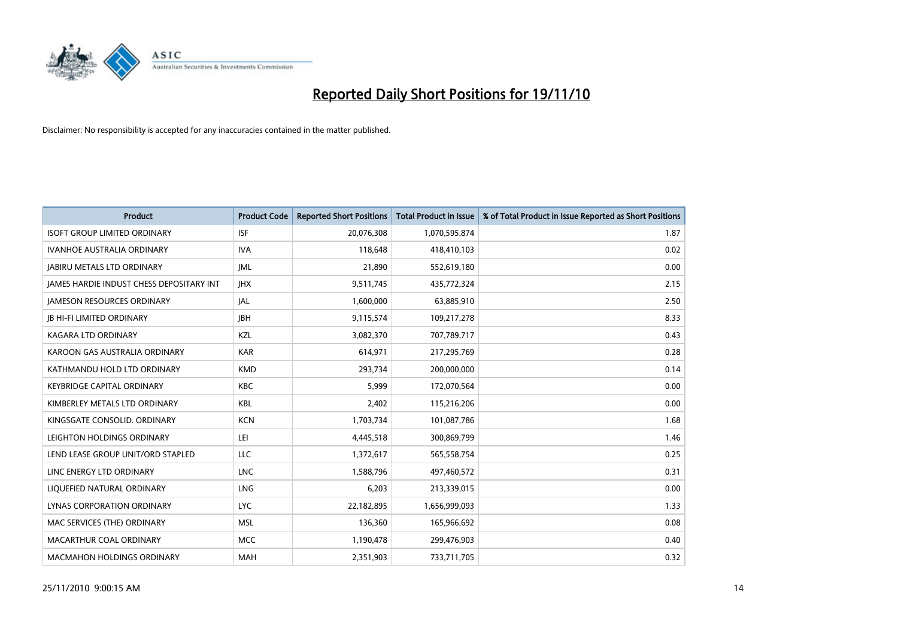

| <b>Product</b>                           | <b>Product Code</b> | <b>Reported Short Positions</b> | <b>Total Product in Issue</b> | % of Total Product in Issue Reported as Short Positions |
|------------------------------------------|---------------------|---------------------------------|-------------------------------|---------------------------------------------------------|
| <b>ISOFT GROUP LIMITED ORDINARY</b>      | <b>ISF</b>          | 20,076,308                      | 1,070,595,874                 | 1.87                                                    |
| IVANHOE AUSTRALIA ORDINARY               | <b>IVA</b>          | 118,648                         | 418,410,103                   | 0.02                                                    |
| <b>JABIRU METALS LTD ORDINARY</b>        | <b>JML</b>          | 21,890                          | 552,619,180                   | 0.00                                                    |
| JAMES HARDIE INDUST CHESS DEPOSITARY INT | <b>IHX</b>          | 9,511,745                       | 435,772,324                   | 2.15                                                    |
| <b>IAMESON RESOURCES ORDINARY</b>        | JAL                 | 1,600,000                       | 63,885,910                    | 2.50                                                    |
| <b>JB HI-FI LIMITED ORDINARY</b>         | <b>IBH</b>          | 9,115,574                       | 109,217,278                   | 8.33                                                    |
| KAGARA LTD ORDINARY                      | KZL                 | 3,082,370                       | 707,789,717                   | 0.43                                                    |
| KAROON GAS AUSTRALIA ORDINARY            | <b>KAR</b>          | 614,971                         | 217,295,769                   | 0.28                                                    |
| KATHMANDU HOLD LTD ORDINARY              | <b>KMD</b>          | 293,734                         | 200,000,000                   | 0.14                                                    |
| <b>KEYBRIDGE CAPITAL ORDINARY</b>        | <b>KBC</b>          | 5,999                           | 172,070,564                   | 0.00                                                    |
| KIMBERLEY METALS LTD ORDINARY            | <b>KBL</b>          | 2,402                           | 115,216,206                   | 0.00                                                    |
| KINGSGATE CONSOLID. ORDINARY             | <b>KCN</b>          | 1,703,734                       | 101,087,786                   | 1.68                                                    |
| LEIGHTON HOLDINGS ORDINARY               | LEI                 | 4,445,518                       | 300,869,799                   | 1.46                                                    |
| LEND LEASE GROUP UNIT/ORD STAPLED        | <b>LLC</b>          | 1,372,617                       | 565,558,754                   | 0.25                                                    |
| LINC ENERGY LTD ORDINARY                 | <b>LNC</b>          | 1,588,796                       | 497,460,572                   | 0.31                                                    |
| LIQUEFIED NATURAL ORDINARY               | LNG                 | 6,203                           | 213,339,015                   | 0.00                                                    |
| LYNAS CORPORATION ORDINARY               | <b>LYC</b>          | 22,182,895                      | 1,656,999,093                 | 1.33                                                    |
| MAC SERVICES (THE) ORDINARY              | <b>MSL</b>          | 136,360                         | 165,966,692                   | 0.08                                                    |
| MACARTHUR COAL ORDINARY                  | <b>MCC</b>          | 1,190,478                       | 299,476,903                   | 0.40                                                    |
| <b>MACMAHON HOLDINGS ORDINARY</b>        | <b>MAH</b>          | 2,351,903                       | 733,711,705                   | 0.32                                                    |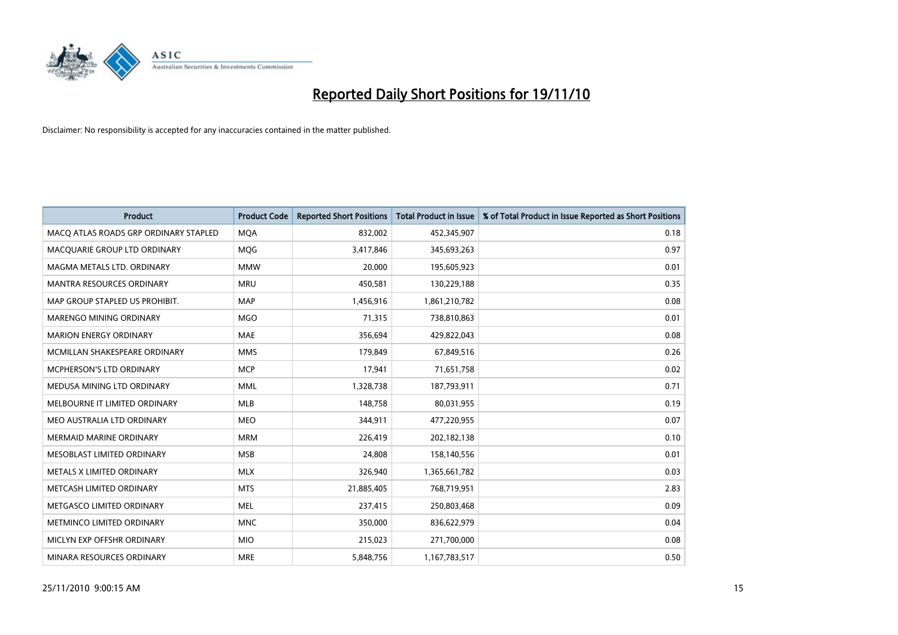

| Product                               | <b>Product Code</b> | <b>Reported Short Positions</b> | Total Product in Issue | % of Total Product in Issue Reported as Short Positions |
|---------------------------------------|---------------------|---------------------------------|------------------------|---------------------------------------------------------|
| MACQ ATLAS ROADS GRP ORDINARY STAPLED | <b>MQA</b>          | 832,002                         | 452,345,907            | 0.18                                                    |
| MACQUARIE GROUP LTD ORDINARY          | <b>MOG</b>          | 3,417,846                       | 345,693,263            | 0.97                                                    |
| MAGMA METALS LTD. ORDINARY            | <b>MMW</b>          | 20,000                          | 195,605,923            | 0.01                                                    |
| MANTRA RESOURCES ORDINARY             | <b>MRU</b>          | 450,581                         | 130,229,188            | 0.35                                                    |
| MAP GROUP STAPLED US PROHIBIT.        | <b>MAP</b>          | 1,456,916                       | 1,861,210,782          | 0.08                                                    |
| <b>MARENGO MINING ORDINARY</b>        | <b>MGO</b>          | 71,315                          | 738,810,863            | 0.01                                                    |
| <b>MARION ENERGY ORDINARY</b>         | <b>MAE</b>          | 356,694                         | 429,822,043            | 0.08                                                    |
| MCMILLAN SHAKESPEARE ORDINARY         | <b>MMS</b>          | 179,849                         | 67,849,516             | 0.26                                                    |
| <b>MCPHERSON'S LTD ORDINARY</b>       | <b>MCP</b>          | 17,941                          | 71,651,758             | 0.02                                                    |
| MEDUSA MINING LTD ORDINARY            | <b>MML</b>          | 1,328,738                       | 187,793,911            | 0.71                                                    |
| MELBOURNE IT LIMITED ORDINARY         | <b>MLB</b>          | 148,758                         | 80,031,955             | 0.19                                                    |
| MEO AUSTRALIA LTD ORDINARY            | <b>MEO</b>          | 344,911                         | 477,220,955            | 0.07                                                    |
| MERMAID MARINE ORDINARY               | <b>MRM</b>          | 226,419                         | 202,182,138            | 0.10                                                    |
| MESOBLAST LIMITED ORDINARY            | <b>MSB</b>          | 24,808                          | 158,140,556            | 0.01                                                    |
| METALS X LIMITED ORDINARY             | <b>MLX</b>          | 326,940                         | 1,365,661,782          | 0.03                                                    |
| METCASH LIMITED ORDINARY              | <b>MTS</b>          | 21,885,405                      | 768,719,951            | 2.83                                                    |
| METGASCO LIMITED ORDINARY             | <b>MEL</b>          | 237,415                         | 250,803,468            | 0.09                                                    |
| METMINCO LIMITED ORDINARY             | <b>MNC</b>          | 350,000                         | 836,622,979            | 0.04                                                    |
| MICLYN EXP OFFSHR ORDINARY            | <b>MIO</b>          | 215,023                         | 271,700,000            | 0.08                                                    |
| MINARA RESOURCES ORDINARY             | <b>MRE</b>          | 5,848,756                       | 1,167,783,517          | 0.50                                                    |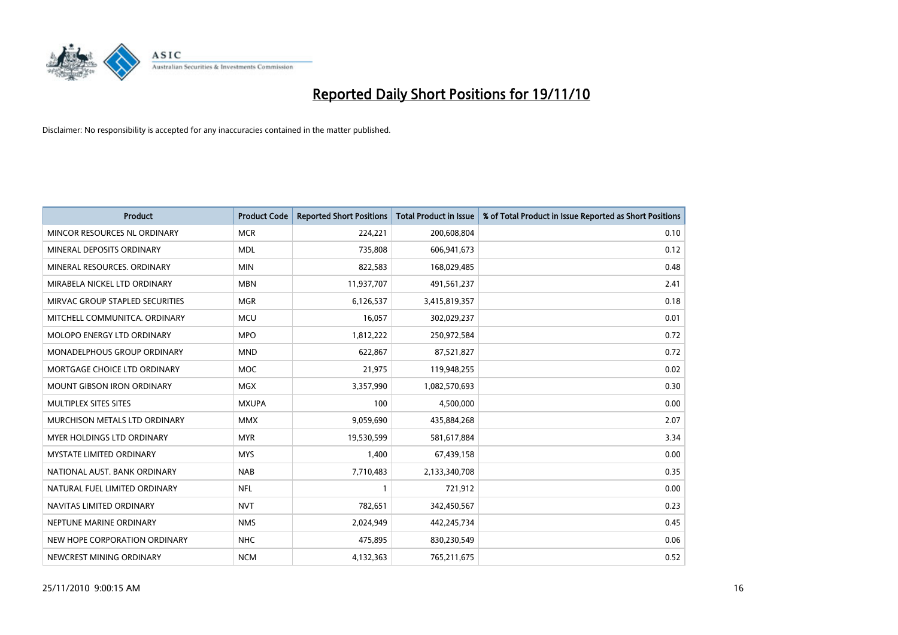

| Product                           | <b>Product Code</b> | <b>Reported Short Positions</b> | Total Product in Issue | % of Total Product in Issue Reported as Short Positions |
|-----------------------------------|---------------------|---------------------------------|------------------------|---------------------------------------------------------|
| MINCOR RESOURCES NL ORDINARY      | <b>MCR</b>          | 224,221                         | 200,608,804            | 0.10                                                    |
| MINERAL DEPOSITS ORDINARY         | <b>MDL</b>          | 735,808                         | 606,941,673            | 0.12                                                    |
| MINERAL RESOURCES, ORDINARY       | <b>MIN</b>          | 822,583                         | 168,029,485            | 0.48                                                    |
| MIRABELA NICKEL LTD ORDINARY      | <b>MBN</b>          | 11,937,707                      | 491,561,237            | 2.41                                                    |
| MIRVAC GROUP STAPLED SECURITIES   | <b>MGR</b>          | 6,126,537                       | 3,415,819,357          | 0.18                                                    |
| MITCHELL COMMUNITCA, ORDINARY     | <b>MCU</b>          | 16,057                          | 302,029,237            | 0.01                                                    |
| <b>MOLOPO ENERGY LTD ORDINARY</b> | <b>MPO</b>          | 1,812,222                       | 250,972,584            | 0.72                                                    |
| MONADELPHOUS GROUP ORDINARY       | <b>MND</b>          | 622,867                         | 87,521,827             | 0.72                                                    |
| MORTGAGE CHOICE LTD ORDINARY      | <b>MOC</b>          | 21,975                          | 119,948,255            | 0.02                                                    |
| <b>MOUNT GIBSON IRON ORDINARY</b> | <b>MGX</b>          | 3,357,990                       | 1,082,570,693          | 0.30                                                    |
| MULTIPLEX SITES SITES             | <b>MXUPA</b>        | 100                             | 4,500,000              | 0.00                                                    |
| MURCHISON METALS LTD ORDINARY     | <b>MMX</b>          | 9,059,690                       | 435,884,268            | 2.07                                                    |
| MYER HOLDINGS LTD ORDINARY        | <b>MYR</b>          | 19,530,599                      | 581,617,884            | 3.34                                                    |
| <b>MYSTATE LIMITED ORDINARY</b>   | <b>MYS</b>          | 1,400                           | 67,439,158             | 0.00                                                    |
| NATIONAL AUST, BANK ORDINARY      | <b>NAB</b>          | 7,710,483                       | 2,133,340,708          | 0.35                                                    |
| NATURAL FUEL LIMITED ORDINARY     | <b>NFL</b>          |                                 | 721,912                | 0.00                                                    |
| NAVITAS LIMITED ORDINARY          | <b>NVT</b>          | 782,651                         | 342,450,567            | 0.23                                                    |
| NEPTUNE MARINE ORDINARY           | <b>NMS</b>          | 2,024,949                       | 442,245,734            | 0.45                                                    |
| NEW HOPE CORPORATION ORDINARY     | <b>NHC</b>          | 475,895                         | 830,230,549            | 0.06                                                    |
| NEWCREST MINING ORDINARY          | <b>NCM</b>          | 4,132,363                       | 765,211,675            | 0.52                                                    |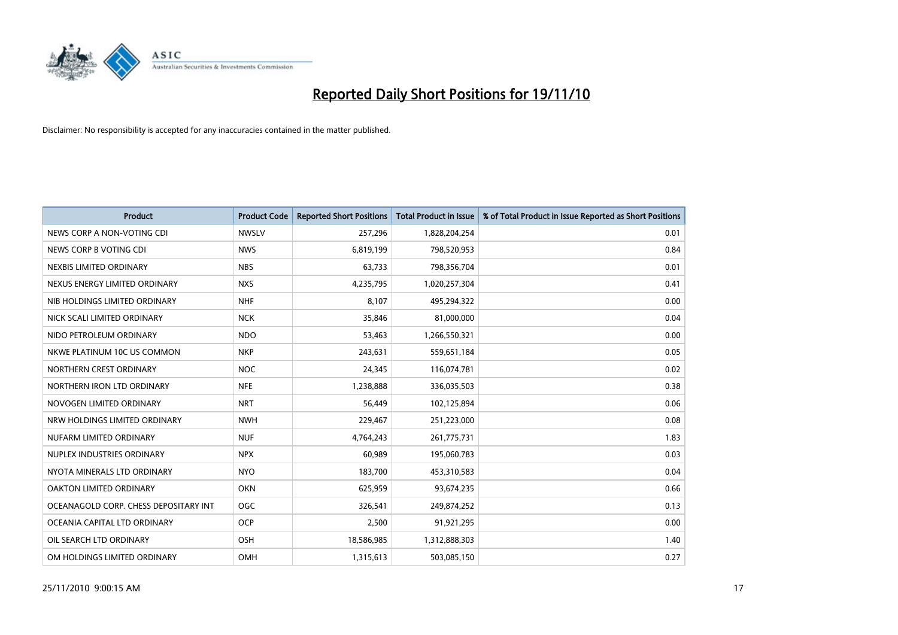

| <b>Product</b>                        | <b>Product Code</b> | <b>Reported Short Positions</b> | Total Product in Issue | % of Total Product in Issue Reported as Short Positions |
|---------------------------------------|---------------------|---------------------------------|------------------------|---------------------------------------------------------|
| NEWS CORP A NON-VOTING CDI            | <b>NWSLV</b>        | 257,296                         | 1,828,204,254          | 0.01                                                    |
| NEWS CORP B VOTING CDI                | <b>NWS</b>          | 6,819,199                       | 798,520,953            | 0.84                                                    |
| NEXBIS LIMITED ORDINARY               | <b>NBS</b>          | 63,733                          | 798,356,704            | 0.01                                                    |
| NEXUS ENERGY LIMITED ORDINARY         | <b>NXS</b>          | 4,235,795                       | 1,020,257,304          | 0.41                                                    |
| NIB HOLDINGS LIMITED ORDINARY         | <b>NHF</b>          | 8,107                           | 495,294,322            | 0.00                                                    |
| NICK SCALI LIMITED ORDINARY           | <b>NCK</b>          | 35,846                          | 81,000,000             | 0.04                                                    |
| NIDO PETROLEUM ORDINARY               | <b>NDO</b>          | 53,463                          | 1,266,550,321          | 0.00                                                    |
| NKWE PLATINUM 10C US COMMON           | <b>NKP</b>          | 243,631                         | 559,651,184            | 0.05                                                    |
| NORTHERN CREST ORDINARY               | <b>NOC</b>          | 24,345                          | 116,074,781            | 0.02                                                    |
| NORTHERN IRON LTD ORDINARY            | <b>NFE</b>          | 1,238,888                       | 336,035,503            | 0.38                                                    |
| NOVOGEN LIMITED ORDINARY              | <b>NRT</b>          | 56,449                          | 102,125,894            | 0.06                                                    |
| NRW HOLDINGS LIMITED ORDINARY         | <b>NWH</b>          | 229,467                         | 251,223,000            | 0.08                                                    |
| NUFARM LIMITED ORDINARY               | <b>NUF</b>          | 4,764,243                       | 261,775,731            | 1.83                                                    |
| NUPLEX INDUSTRIES ORDINARY            | <b>NPX</b>          | 60,989                          | 195,060,783            | 0.03                                                    |
| NYOTA MINERALS LTD ORDINARY           | <b>NYO</b>          | 183,700                         | 453,310,583            | 0.04                                                    |
| OAKTON LIMITED ORDINARY               | <b>OKN</b>          | 625,959                         | 93,674,235             | 0.66                                                    |
| OCEANAGOLD CORP. CHESS DEPOSITARY INT | OGC                 | 326,541                         | 249,874,252            | 0.13                                                    |
| OCEANIA CAPITAL LTD ORDINARY          | <b>OCP</b>          | 2,500                           | 91,921,295             | 0.00                                                    |
| OIL SEARCH LTD ORDINARY               | <b>OSH</b>          | 18,586,985                      | 1,312,888,303          | 1.40                                                    |
| OM HOLDINGS LIMITED ORDINARY          | OMH                 | 1,315,613                       | 503,085,150            | 0.27                                                    |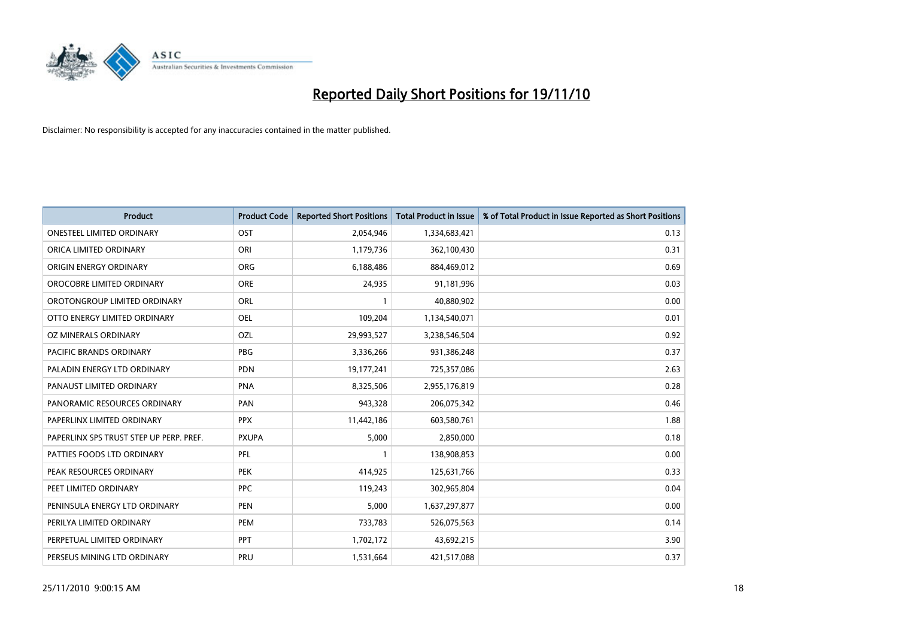

| Product                                 | <b>Product Code</b> | <b>Reported Short Positions</b> | Total Product in Issue | % of Total Product in Issue Reported as Short Positions |
|-----------------------------------------|---------------------|---------------------------------|------------------------|---------------------------------------------------------|
| <b>ONESTEEL LIMITED ORDINARY</b>        | OST                 | 2,054,946                       | 1,334,683,421          | 0.13                                                    |
| ORICA LIMITED ORDINARY                  | ORI                 | 1,179,736                       | 362,100,430            | 0.31                                                    |
| <b>ORIGIN ENERGY ORDINARY</b>           | <b>ORG</b>          | 6,188,486                       | 884,469,012            | 0.69                                                    |
| OROCOBRE LIMITED ORDINARY               | <b>ORE</b>          | 24,935                          | 91,181,996             | 0.03                                                    |
| OROTONGROUP LIMITED ORDINARY            | <b>ORL</b>          |                                 | 40,880,902             | 0.00                                                    |
| OTTO ENERGY LIMITED ORDINARY            | <b>OEL</b>          | 109,204                         | 1,134,540,071          | 0.01                                                    |
| OZ MINERALS ORDINARY                    | OZL                 | 29,993,527                      | 3,238,546,504          | 0.92                                                    |
| <b>PACIFIC BRANDS ORDINARY</b>          | PBG                 | 3,336,266                       | 931,386,248            | 0.37                                                    |
| PALADIN ENERGY LTD ORDINARY             | <b>PDN</b>          | 19,177,241                      | 725,357,086            | 2.63                                                    |
| PANAUST LIMITED ORDINARY                | <b>PNA</b>          | 8,325,506                       | 2,955,176,819          | 0.28                                                    |
| PANORAMIC RESOURCES ORDINARY            | PAN                 | 943,328                         | 206,075,342            | 0.46                                                    |
| PAPERLINX LIMITED ORDINARY              | <b>PPX</b>          | 11,442,186                      | 603,580,761            | 1.88                                                    |
| PAPERLINX SPS TRUST STEP UP PERP. PREF. | <b>PXUPA</b>        | 5,000                           | 2,850,000              | 0.18                                                    |
| PATTIES FOODS LTD ORDINARY              | PFL                 |                                 | 138,908,853            | 0.00                                                    |
| PEAK RESOURCES ORDINARY                 | <b>PEK</b>          | 414,925                         | 125,631,766            | 0.33                                                    |
| PEET LIMITED ORDINARY                   | <b>PPC</b>          | 119,243                         | 302,965,804            | 0.04                                                    |
| PENINSULA ENERGY LTD ORDINARY           | <b>PEN</b>          | 5,000                           | 1,637,297,877          | 0.00                                                    |
| PERILYA LIMITED ORDINARY                | PEM                 | 733,783                         | 526,075,563            | 0.14                                                    |
| PERPETUAL LIMITED ORDINARY              | PPT                 | 1,702,172                       | 43,692,215             | 3.90                                                    |
| PERSEUS MINING LTD ORDINARY             | PRU                 | 1,531,664                       | 421,517,088            | 0.37                                                    |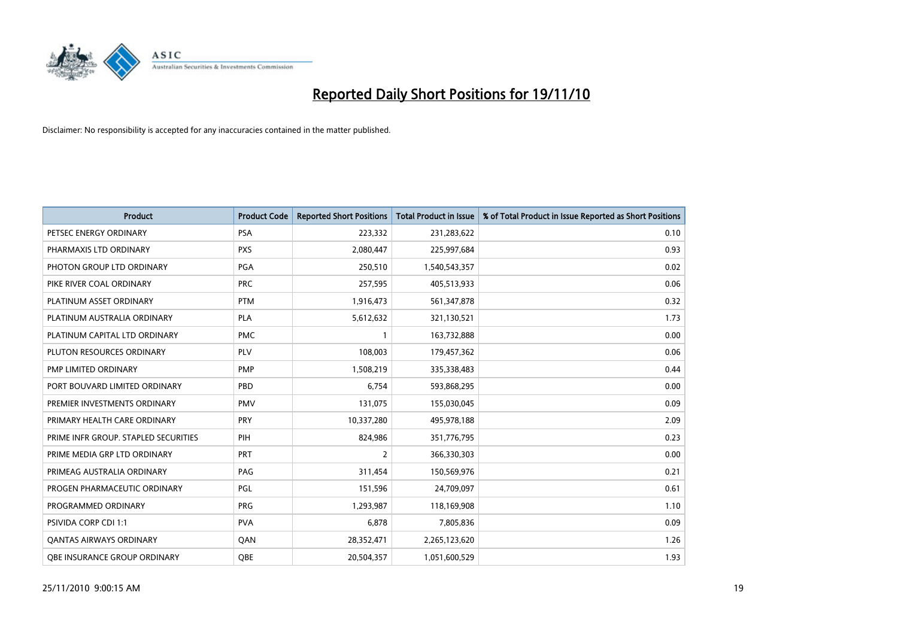

| Product                              | <b>Product Code</b> | <b>Reported Short Positions</b> | <b>Total Product in Issue</b> | % of Total Product in Issue Reported as Short Positions |
|--------------------------------------|---------------------|---------------------------------|-------------------------------|---------------------------------------------------------|
| PETSEC ENERGY ORDINARY               | <b>PSA</b>          | 223,332                         | 231,283,622                   | 0.10                                                    |
| PHARMAXIS LTD ORDINARY               | <b>PXS</b>          | 2,080,447                       | 225,997,684                   | 0.93                                                    |
| PHOTON GROUP LTD ORDINARY            | PGA                 | 250,510                         | 1,540,543,357                 | 0.02                                                    |
| PIKE RIVER COAL ORDINARY             | <b>PRC</b>          | 257,595                         | 405,513,933                   | 0.06                                                    |
| PLATINUM ASSET ORDINARY              | <b>PTM</b>          | 1,916,473                       | 561,347,878                   | 0.32                                                    |
| PLATINUM AUSTRALIA ORDINARY          | PLA                 | 5,612,632                       | 321,130,521                   | 1.73                                                    |
| PLATINUM CAPITAL LTD ORDINARY        | <b>PMC</b>          |                                 | 163,732,888                   | 0.00                                                    |
| PLUTON RESOURCES ORDINARY            | <b>PLV</b>          | 108,003                         | 179,457,362                   | 0.06                                                    |
| PMP LIMITED ORDINARY                 | <b>PMP</b>          | 1,508,219                       | 335,338,483                   | 0.44                                                    |
| PORT BOUVARD LIMITED ORDINARY        | PBD                 | 6,754                           | 593,868,295                   | 0.00                                                    |
| PREMIER INVESTMENTS ORDINARY         | <b>PMV</b>          | 131,075                         | 155,030,045                   | 0.09                                                    |
| PRIMARY HEALTH CARE ORDINARY         | PRY                 | 10,337,280                      | 495,978,188                   | 2.09                                                    |
| PRIME INFR GROUP. STAPLED SECURITIES | PIH                 | 824,986                         | 351,776,795                   | 0.23                                                    |
| PRIME MEDIA GRP LTD ORDINARY         | PRT                 | 2                               | 366,330,303                   | 0.00                                                    |
| PRIMEAG AUSTRALIA ORDINARY           | PAG                 | 311,454                         | 150,569,976                   | 0.21                                                    |
| PROGEN PHARMACEUTIC ORDINARY         | PGL                 | 151,596                         | 24,709,097                    | 0.61                                                    |
| PROGRAMMED ORDINARY                  | PRG                 | 1,293,987                       | 118,169,908                   | 1.10                                                    |
| PSIVIDA CORP CDI 1:1                 | <b>PVA</b>          | 6,878                           | 7,805,836                     | 0.09                                                    |
| <b>QANTAS AIRWAYS ORDINARY</b>       | QAN                 | 28,352,471                      | 2,265,123,620                 | 1.26                                                    |
| <b>QBE INSURANCE GROUP ORDINARY</b>  | <b>OBE</b>          | 20,504,357                      | 1,051,600,529                 | 1.93                                                    |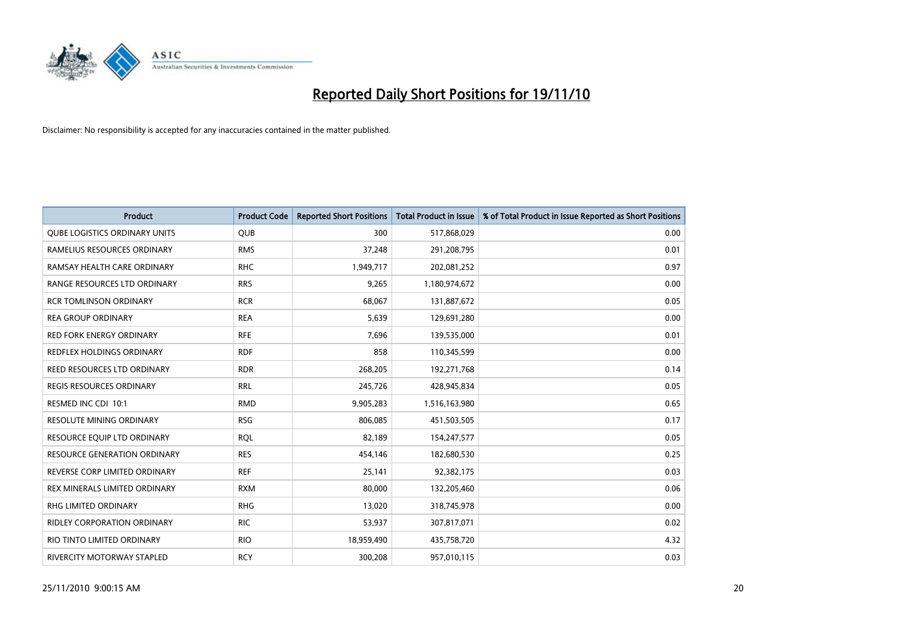

| Product                              | <b>Product Code</b> | <b>Reported Short Positions</b> | <b>Total Product in Issue</b> | % of Total Product in Issue Reported as Short Positions |
|--------------------------------------|---------------------|---------------------------------|-------------------------------|---------------------------------------------------------|
| <b>QUBE LOGISTICS ORDINARY UNITS</b> | <b>QUB</b>          | 300                             | 517,868,029                   | 0.00                                                    |
| RAMELIUS RESOURCES ORDINARY          | <b>RMS</b>          | 37,248                          | 291,208,795                   | 0.01                                                    |
| RAMSAY HEALTH CARE ORDINARY          | <b>RHC</b>          | 1,949,717                       | 202,081,252                   | 0.97                                                    |
| RANGE RESOURCES LTD ORDINARY         | <b>RRS</b>          | 9,265                           | 1,180,974,672                 | 0.00                                                    |
| <b>RCR TOMLINSON ORDINARY</b>        | <b>RCR</b>          | 68,067                          | 131,887,672                   | 0.05                                                    |
| <b>REA GROUP ORDINARY</b>            | <b>REA</b>          | 5,639                           | 129,691,280                   | 0.00                                                    |
| <b>RED FORK ENERGY ORDINARY</b>      | <b>RFE</b>          | 7,696                           | 139,535,000                   | 0.01                                                    |
| REDFLEX HOLDINGS ORDINARY            | <b>RDF</b>          | 858                             | 110,345,599                   | 0.00                                                    |
| <b>REED RESOURCES LTD ORDINARY</b>   | <b>RDR</b>          | 268,205                         | 192,271,768                   | 0.14                                                    |
| <b>REGIS RESOURCES ORDINARY</b>      | <b>RRL</b>          | 245,726                         | 428,945,834                   | 0.05                                                    |
| RESMED INC CDI 10:1                  | <b>RMD</b>          | 9,905,283                       | 1,516,163,980                 | 0.65                                                    |
| <b>RESOLUTE MINING ORDINARY</b>      | <b>RSG</b>          | 806,085                         | 451,503,505                   | 0.17                                                    |
| RESOURCE EQUIP LTD ORDINARY          | <b>RQL</b>          | 82,189                          | 154,247,577                   | 0.05                                                    |
| <b>RESOURCE GENERATION ORDINARY</b>  | <b>RES</b>          | 454,146                         | 182,680,530                   | 0.25                                                    |
| REVERSE CORP LIMITED ORDINARY        | <b>REF</b>          | 25,141                          | 92,382,175                    | 0.03                                                    |
| REX MINERALS LIMITED ORDINARY        | <b>RXM</b>          | 80,000                          | 132,205,460                   | 0.06                                                    |
| RHG LIMITED ORDINARY                 | <b>RHG</b>          | 13,020                          | 318,745,978                   | 0.00                                                    |
| RIDLEY CORPORATION ORDINARY          | <b>RIC</b>          | 53,937                          | 307,817,071                   | 0.02                                                    |
| RIO TINTO LIMITED ORDINARY           | <b>RIO</b>          | 18,959,490                      | 435,758,720                   | 4.32                                                    |
| RIVERCITY MOTORWAY STAPLED           | <b>RCY</b>          | 300,208                         | 957,010,115                   | 0.03                                                    |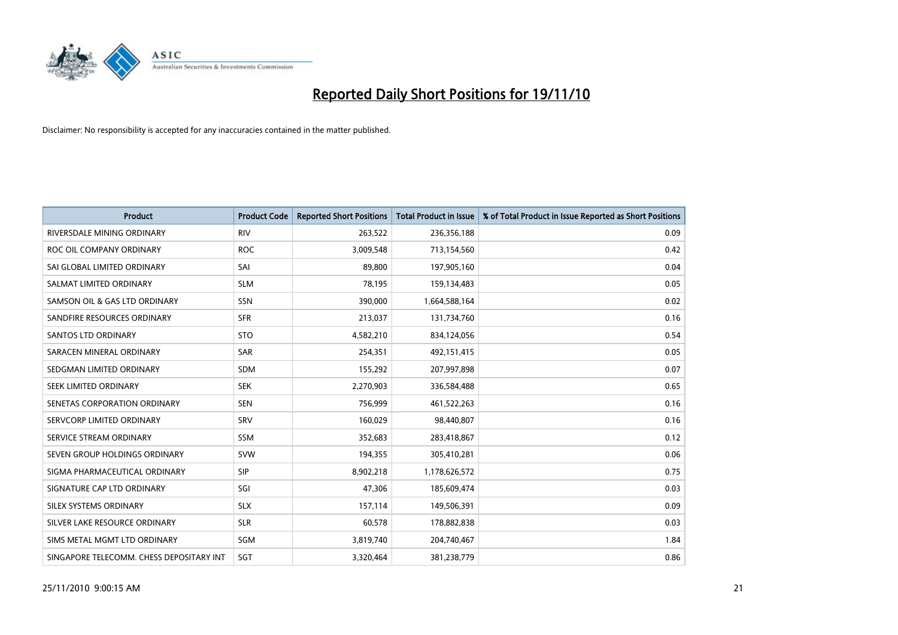

| Product                                  | <b>Product Code</b> | <b>Reported Short Positions</b> | Total Product in Issue | % of Total Product in Issue Reported as Short Positions |
|------------------------------------------|---------------------|---------------------------------|------------------------|---------------------------------------------------------|
| RIVERSDALE MINING ORDINARY               | <b>RIV</b>          | 263,522                         | 236,356,188            | 0.09                                                    |
| ROC OIL COMPANY ORDINARY                 | <b>ROC</b>          | 3,009,548                       | 713,154,560            | 0.42                                                    |
| SAI GLOBAL LIMITED ORDINARY              | SAI                 | 89,800                          | 197,905,160            | 0.04                                                    |
| SALMAT LIMITED ORDINARY                  | <b>SLM</b>          | 78,195                          | 159,134,483            | 0.05                                                    |
| SAMSON OIL & GAS LTD ORDINARY            | SSN                 | 390.000                         | 1,664,588,164          | 0.02                                                    |
| SANDFIRE RESOURCES ORDINARY              | <b>SFR</b>          | 213,037                         | 131,734,760            | 0.16                                                    |
| <b>SANTOS LTD ORDINARY</b>               | <b>STO</b>          | 4,582,210                       | 834,124,056            | 0.54                                                    |
| SARACEN MINERAL ORDINARY                 | <b>SAR</b>          | 254,351                         | 492,151,415            | 0.05                                                    |
| SEDGMAN LIMITED ORDINARY                 | <b>SDM</b>          | 155,292                         | 207,997,898            | 0.07                                                    |
| SEEK LIMITED ORDINARY                    | <b>SEK</b>          | 2,270,903                       | 336,584,488            | 0.65                                                    |
| SENETAS CORPORATION ORDINARY             | <b>SEN</b>          | 756,999                         | 461,522,263            | 0.16                                                    |
| SERVCORP LIMITED ORDINARY                | SRV                 | 160,029                         | 98,440,807             | 0.16                                                    |
| SERVICE STREAM ORDINARY                  | <b>SSM</b>          | 352,683                         | 283,418,867            | 0.12                                                    |
| SEVEN GROUP HOLDINGS ORDINARY            | <b>SVW</b>          | 194,355                         | 305,410,281            | 0.06                                                    |
| SIGMA PHARMACEUTICAL ORDINARY            | <b>SIP</b>          | 8,902,218                       | 1,178,626,572          | 0.75                                                    |
| SIGNATURE CAP LTD ORDINARY               | SGI                 | 47,306                          | 185,609,474            | 0.03                                                    |
| <b>SILEX SYSTEMS ORDINARY</b>            | <b>SLX</b>          | 157,114                         | 149,506,391            | 0.09                                                    |
| SILVER LAKE RESOURCE ORDINARY            | <b>SLR</b>          | 60,578                          | 178,882,838            | 0.03                                                    |
| SIMS METAL MGMT LTD ORDINARY             | SGM                 | 3,819,740                       | 204,740,467            | 1.84                                                    |
| SINGAPORE TELECOMM. CHESS DEPOSITARY INT | <b>SGT</b>          | 3,320,464                       | 381,238,779            | 0.86                                                    |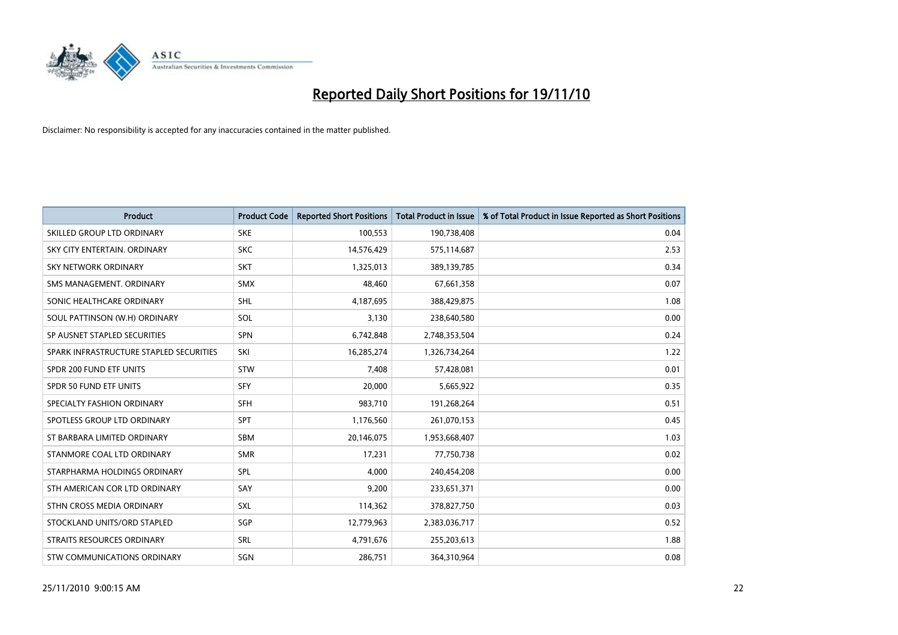

| <b>Product</b>                          | <b>Product Code</b> | <b>Reported Short Positions</b> | Total Product in Issue | % of Total Product in Issue Reported as Short Positions |
|-----------------------------------------|---------------------|---------------------------------|------------------------|---------------------------------------------------------|
| SKILLED GROUP LTD ORDINARY              | <b>SKE</b>          | 100,553                         | 190,738,408            | 0.04                                                    |
| SKY CITY ENTERTAIN, ORDINARY            | <b>SKC</b>          | 14,576,429                      | 575,114,687            | 2.53                                                    |
| <b>SKY NETWORK ORDINARY</b>             | <b>SKT</b>          | 1,325,013                       | 389,139,785            | 0.34                                                    |
| SMS MANAGEMENT. ORDINARY                | <b>SMX</b>          | 48,460                          | 67,661,358             | 0.07                                                    |
| SONIC HEALTHCARE ORDINARY               | <b>SHL</b>          | 4,187,695                       | 388,429,875            | 1.08                                                    |
| SOUL PATTINSON (W.H) ORDINARY           | SOL                 | 3,130                           | 238,640,580            | 0.00                                                    |
| SP AUSNET STAPLED SECURITIES            | <b>SPN</b>          | 6,742,848                       | 2,748,353,504          | 0.24                                                    |
| SPARK INFRASTRUCTURE STAPLED SECURITIES | SKI                 | 16,285,274                      | 1,326,734,264          | 1.22                                                    |
| SPDR 200 FUND ETF UNITS                 | <b>STW</b>          | 7,408                           | 57,428,081             | 0.01                                                    |
| SPDR 50 FUND ETF UNITS                  | <b>SFY</b>          | 20,000                          | 5,665,922              | 0.35                                                    |
| SPECIALTY FASHION ORDINARY              | <b>SFH</b>          | 983,710                         | 191,268,264            | 0.51                                                    |
| SPOTLESS GROUP LTD ORDINARY             | <b>SPT</b>          | 1,176,560                       | 261,070,153            | 0.45                                                    |
| ST BARBARA LIMITED ORDINARY             | <b>SBM</b>          | 20,146,075                      | 1,953,668,407          | 1.03                                                    |
| STANMORE COAL LTD ORDINARY              | <b>SMR</b>          | 17,231                          | 77,750,738             | 0.02                                                    |
| STARPHARMA HOLDINGS ORDINARY            | SPL                 | 4,000                           | 240,454,208            | 0.00                                                    |
| STH AMERICAN COR LTD ORDINARY           | SAY                 | 9,200                           | 233,651,371            | 0.00                                                    |
| STHN CROSS MEDIA ORDINARY               | <b>SXL</b>          | 114,362                         | 378,827,750            | 0.03                                                    |
| STOCKLAND UNITS/ORD STAPLED             | <b>SGP</b>          | 12,779,963                      | 2,383,036,717          | 0.52                                                    |
| <b>STRAITS RESOURCES ORDINARY</b>       | SRL                 | 4,791,676                       | 255,203,613            | 1.88                                                    |
| STW COMMUNICATIONS ORDINARY             | SGN                 | 286,751                         | 364,310,964            | 0.08                                                    |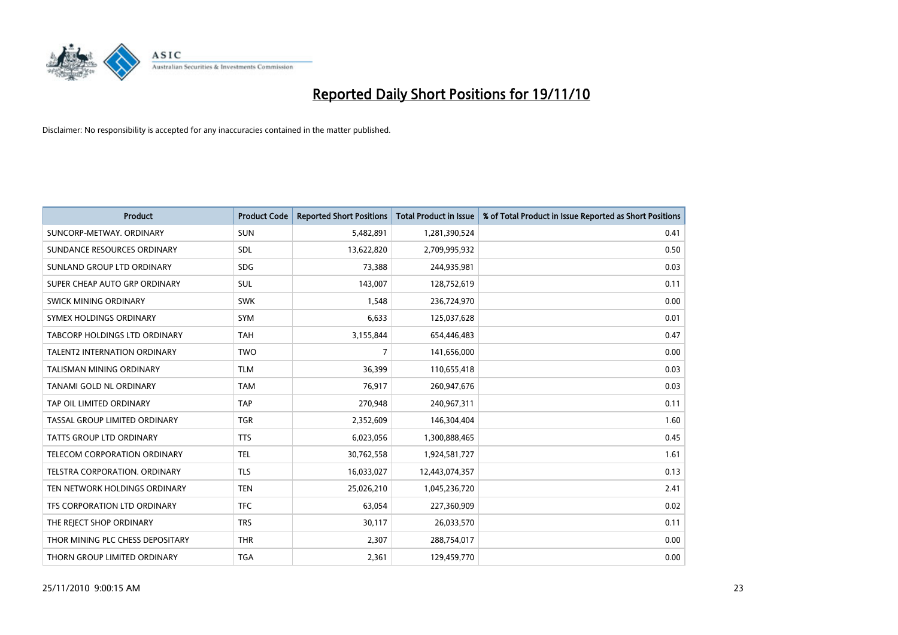

| <b>Product</b>                       | <b>Product Code</b> | <b>Reported Short Positions</b> | <b>Total Product in Issue</b> | % of Total Product in Issue Reported as Short Positions |
|--------------------------------------|---------------------|---------------------------------|-------------------------------|---------------------------------------------------------|
| SUNCORP-METWAY, ORDINARY             | <b>SUN</b>          | 5,482,891                       | 1,281,390,524                 | 0.41                                                    |
| SUNDANCE RESOURCES ORDINARY          | <b>SDL</b>          | 13,622,820                      | 2,709,995,932                 | 0.50                                                    |
| SUNLAND GROUP LTD ORDINARY           | <b>SDG</b>          | 73,388                          | 244,935,981                   | 0.03                                                    |
| SUPER CHEAP AUTO GRP ORDINARY        | <b>SUL</b>          | 143,007                         | 128,752,619                   | 0.11                                                    |
| <b>SWICK MINING ORDINARY</b>         | <b>SWK</b>          | 1,548                           | 236,724,970                   | 0.00                                                    |
| SYMEX HOLDINGS ORDINARY              | <b>SYM</b>          | 6,633                           | 125,037,628                   | 0.01                                                    |
| <b>TABCORP HOLDINGS LTD ORDINARY</b> | <b>TAH</b>          | 3,155,844                       | 654,446,483                   | 0.47                                                    |
| <b>TALENT2 INTERNATION ORDINARY</b>  | <b>TWO</b>          | 7                               | 141,656,000                   | 0.00                                                    |
| TALISMAN MINING ORDINARY             | <b>TLM</b>          | 36,399                          | 110,655,418                   | 0.03                                                    |
| <b>TANAMI GOLD NL ORDINARY</b>       | <b>TAM</b>          | 76,917                          | 260,947,676                   | 0.03                                                    |
| TAP OIL LIMITED ORDINARY             | <b>TAP</b>          | 270,948                         | 240,967,311                   | 0.11                                                    |
| TASSAL GROUP LIMITED ORDINARY        | <b>TGR</b>          | 2,352,609                       | 146,304,404                   | 1.60                                                    |
| <b>TATTS GROUP LTD ORDINARY</b>      | <b>TTS</b>          | 6,023,056                       | 1,300,888,465                 | 0.45                                                    |
| TELECOM CORPORATION ORDINARY         | <b>TEL</b>          | 30,762,558                      | 1,924,581,727                 | 1.61                                                    |
| TELSTRA CORPORATION, ORDINARY        | <b>TLS</b>          | 16,033,027                      | 12,443,074,357                | 0.13                                                    |
| TEN NETWORK HOLDINGS ORDINARY        | <b>TEN</b>          | 25,026,210                      | 1,045,236,720                 | 2.41                                                    |
| TFS CORPORATION LTD ORDINARY         | <b>TFC</b>          | 63,054                          | 227,360,909                   | 0.02                                                    |
| THE REJECT SHOP ORDINARY             | <b>TRS</b>          | 30,117                          | 26,033,570                    | 0.11                                                    |
| THOR MINING PLC CHESS DEPOSITARY     | <b>THR</b>          | 2,307                           | 288,754,017                   | 0.00                                                    |
| THORN GROUP LIMITED ORDINARY         | <b>TGA</b>          | 2,361                           | 129,459,770                   | 0.00                                                    |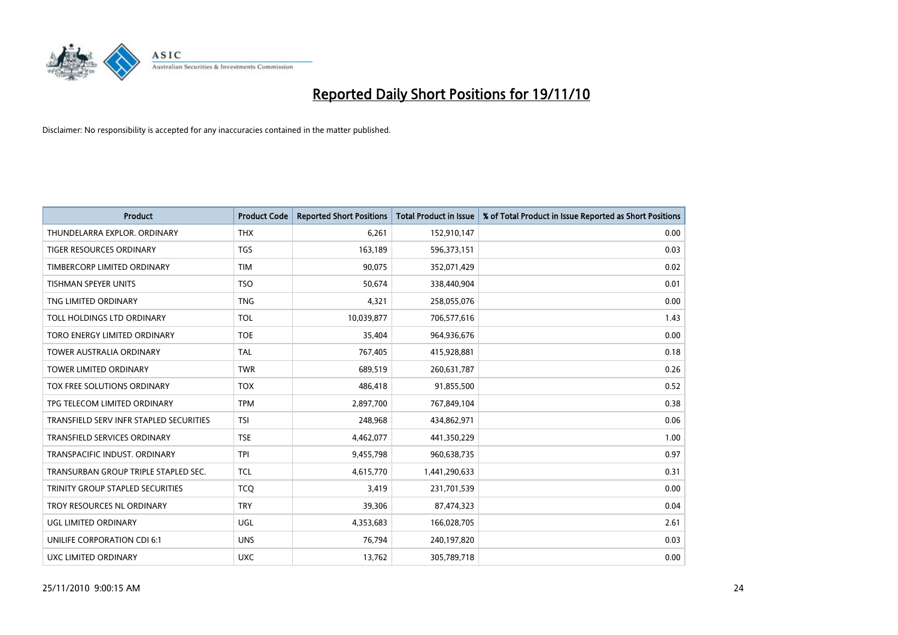

| <b>Product</b>                          | <b>Product Code</b> | <b>Reported Short Positions</b> | <b>Total Product in Issue</b> | % of Total Product in Issue Reported as Short Positions |
|-----------------------------------------|---------------------|---------------------------------|-------------------------------|---------------------------------------------------------|
| THUNDELARRA EXPLOR. ORDINARY            | <b>THX</b>          | 6,261                           | 152,910,147                   | 0.00                                                    |
| TIGER RESOURCES ORDINARY                | <b>TGS</b>          | 163,189                         | 596,373,151                   | 0.03                                                    |
| TIMBERCORP LIMITED ORDINARY             | <b>TIM</b>          | 90,075                          | 352,071,429                   | 0.02                                                    |
| TISHMAN SPEYER UNITS                    | <b>TSO</b>          | 50,674                          | 338,440,904                   | 0.01                                                    |
| TNG LIMITED ORDINARY                    | <b>TNG</b>          | 4,321                           | 258,055,076                   | 0.00                                                    |
| TOLL HOLDINGS LTD ORDINARY              | <b>TOL</b>          | 10,039,877                      | 706,577,616                   | 1.43                                                    |
| TORO ENERGY LIMITED ORDINARY            | <b>TOE</b>          | 35,404                          | 964,936,676                   | 0.00                                                    |
| <b>TOWER AUSTRALIA ORDINARY</b>         | <b>TAL</b>          | 767,405                         | 415,928,881                   | 0.18                                                    |
| TOWER LIMITED ORDINARY                  | <b>TWR</b>          | 689,519                         | 260,631,787                   | 0.26                                                    |
| TOX FREE SOLUTIONS ORDINARY             | <b>TOX</b>          | 486,418                         | 91,855,500                    | 0.52                                                    |
| TPG TELECOM LIMITED ORDINARY            | <b>TPM</b>          | 2,897,700                       | 767,849,104                   | 0.38                                                    |
| TRANSFIELD SERV INFR STAPLED SECURITIES | <b>TSI</b>          | 248,968                         | 434,862,971                   | 0.06                                                    |
| <b>TRANSFIELD SERVICES ORDINARY</b>     | <b>TSE</b>          | 4,462,077                       | 441,350,229                   | 1.00                                                    |
| TRANSPACIFIC INDUST, ORDINARY           | <b>TPI</b>          | 9,455,798                       | 960,638,735                   | 0.97                                                    |
| TRANSURBAN GROUP TRIPLE STAPLED SEC.    | <b>TCL</b>          | 4,615,770                       | 1,441,290,633                 | 0.31                                                    |
| TRINITY GROUP STAPLED SECURITIES        | <b>TCO</b>          | 3,419                           | 231,701,539                   | 0.00                                                    |
| TROY RESOURCES NL ORDINARY              | <b>TRY</b>          | 39,306                          | 87,474,323                    | 0.04                                                    |
| UGL LIMITED ORDINARY                    | <b>UGL</b>          | 4,353,683                       | 166,028,705                   | 2.61                                                    |
| UNILIFE CORPORATION CDI 6:1             | <b>UNS</b>          | 76,794                          | 240,197,820                   | 0.03                                                    |
| UXC LIMITED ORDINARY                    | <b>UXC</b>          | 13,762                          | 305,789,718                   | 0.00                                                    |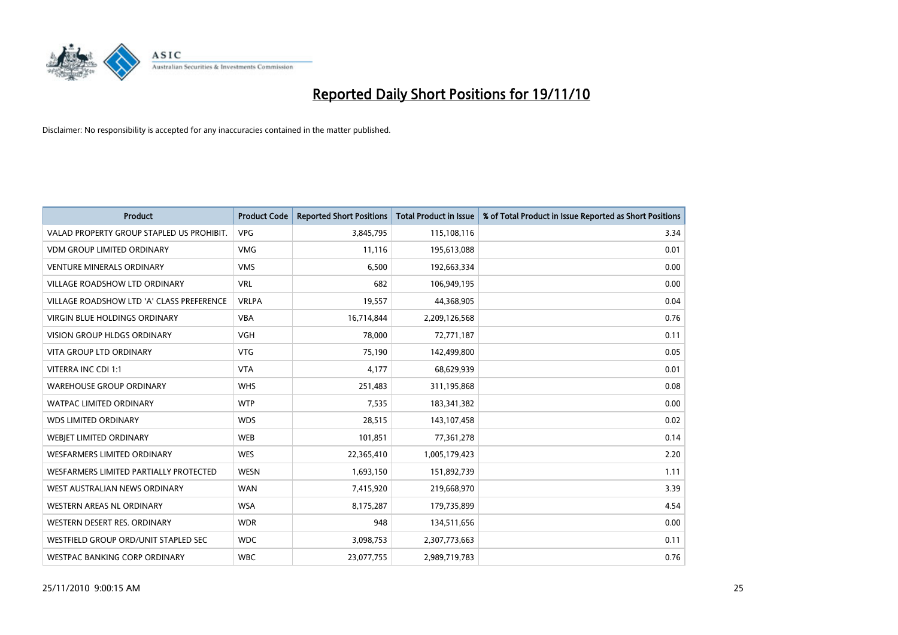

| <b>Product</b>                            | <b>Product Code</b> | <b>Reported Short Positions</b> | <b>Total Product in Issue</b> | % of Total Product in Issue Reported as Short Positions |
|-------------------------------------------|---------------------|---------------------------------|-------------------------------|---------------------------------------------------------|
| VALAD PROPERTY GROUP STAPLED US PROHIBIT. | <b>VPG</b>          | 3,845,795                       | 115,108,116                   | 3.34                                                    |
| <b>VDM GROUP LIMITED ORDINARY</b>         | <b>VMG</b>          | 11.116                          | 195,613,088                   | 0.01                                                    |
| <b>VENTURE MINERALS ORDINARY</b>          | <b>VMS</b>          | 6,500                           | 192,663,334                   | 0.00                                                    |
| VILLAGE ROADSHOW LTD ORDINARY             | <b>VRL</b>          | 682                             | 106,949,195                   | 0.00                                                    |
| VILLAGE ROADSHOW LTD 'A' CLASS PREFERENCE | <b>VRLPA</b>        | 19,557                          | 44,368,905                    | 0.04                                                    |
| <b>VIRGIN BLUE HOLDINGS ORDINARY</b>      | <b>VBA</b>          | 16,714,844                      | 2,209,126,568                 | 0.76                                                    |
| <b>VISION GROUP HLDGS ORDINARY</b>        | <b>VGH</b>          | 78.000                          | 72,771,187                    | 0.11                                                    |
| <b>VITA GROUP LTD ORDINARY</b>            | <b>VTG</b>          | 75,190                          | 142,499,800                   | 0.05                                                    |
| VITERRA INC CDI 1:1                       | <b>VTA</b>          | 4,177                           | 68,629,939                    | 0.01                                                    |
| <b>WAREHOUSE GROUP ORDINARY</b>           | <b>WHS</b>          | 251,483                         | 311,195,868                   | 0.08                                                    |
| <b>WATPAC LIMITED ORDINARY</b>            | <b>WTP</b>          | 7,535                           | 183,341,382                   | 0.00                                                    |
| <b>WDS LIMITED ORDINARY</b>               | <b>WDS</b>          | 28,515                          | 143,107,458                   | 0.02                                                    |
| WEBJET LIMITED ORDINARY                   | <b>WEB</b>          | 101,851                         | 77,361,278                    | 0.14                                                    |
| <b>WESFARMERS LIMITED ORDINARY</b>        | <b>WES</b>          | 22,365,410                      | 1,005,179,423                 | 2.20                                                    |
| WESFARMERS LIMITED PARTIALLY PROTECTED    | <b>WESN</b>         | 1,693,150                       | 151,892,739                   | 1.11                                                    |
| WEST AUSTRALIAN NEWS ORDINARY             | <b>WAN</b>          | 7,415,920                       | 219,668,970                   | 3.39                                                    |
| <b>WESTERN AREAS NL ORDINARY</b>          | <b>WSA</b>          | 8,175,287                       | 179,735,899                   | 4.54                                                    |
| WESTERN DESERT RES. ORDINARY              | <b>WDR</b>          | 948                             | 134,511,656                   | 0.00                                                    |
| WESTFIELD GROUP ORD/UNIT STAPLED SEC      | <b>WDC</b>          | 3,098,753                       | 2,307,773,663                 | 0.11                                                    |
| WESTPAC BANKING CORP ORDINARY             | <b>WBC</b>          | 23,077,755                      | 2,989,719,783                 | 0.76                                                    |